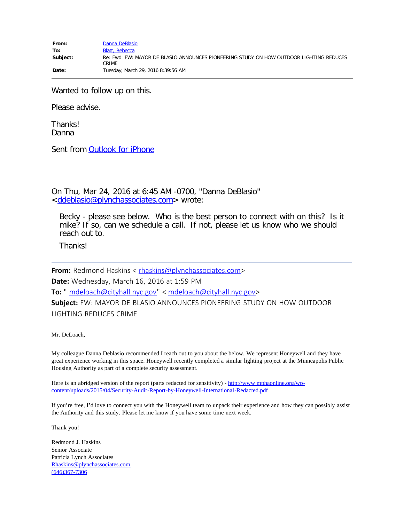Wanted to follow up on this.

Please advise.

Thanks! Danna

Sent from Outlook for iPhone

On Thu, Mar 24, 2016 at 6:45 AM -0700, "Danna DeBlasio" <ddeblasio@plynchassociates.com> wrote:

Becky - please see below. Who is the best person to connect with on this? Is it mike? If so, can we schedule a call. If not, please let us know who we should reach out to.

Thanks!

**From:** Redmond Haskins < rhaskins@plynchassociates.com>

**Date:** Wednesday, March 16, 2016 at 1:59 PM

**To:** " mdeloach@cityhall.nyc.gov" < mdeloach@cityhall.nyc.gov>

**Subject:** FW: MAYOR DE BLASIO ANNOUNCES PIONEERING STUDY ON HOW OUTDOOR LIGHTING REDUCES CRIME

Mr. DeLoach,

My colleague Danna Deblasio recommended I reach out to you about the below. We represent Honeywell and they have great experience working in this space. Honeywell recently completed a similar lighting project at the Minneapolis Public Housing Authority as part of a complete security assessment.

Here is an abridged version of the report (parts redacted for sensitivity) - http://www.mphaonline.org/wpcontent/uploads/2015/04/Security-Audit-Report-by-Honeywell-International-Redacted.pdf

If you're free, I'd love to connect you with the Honeywell team to unpack their experience and how they can possibly assist the Authority and this study. Please let me know if you have some time next week.

Thank you!

Redmond J. Haskins Senior Associate Patricia Lynch Associates Rhaskins@plynchassociates.com (646)367-7306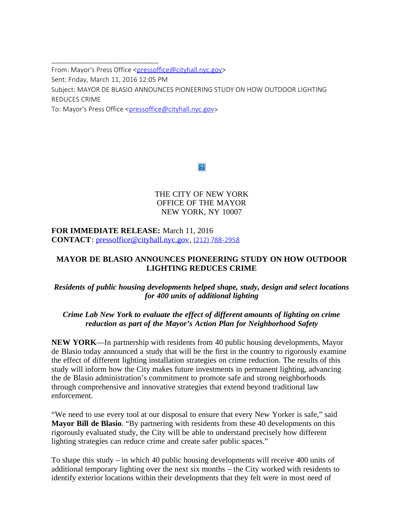From: Mayor's Press Office <pressoffice@cityhall.nyc.gov> Sent: Friday, March 11, 2016 12:05 PM Subject: MAYOR DE BLASIO ANNOUNCES PIONEERING STUDY ON HOW OUTDOOR LIGHTING REDUCES CRIME To: Mayor's Press Office <pressoffice@cityhall.nyc.gov>

#### $\overline{?}$

#### THE CITY OF NEW YORK OFFICE OF THE MAYOR NEW YORK, NY 10007

#### **FOR IMMEDIATE RELEASE:** March 11, 2016 **CONTACT**: pressoffice@cityhall.nyc.gov, (212) 788-2958

\_\_\_\_\_\_\_\_\_\_\_\_\_\_\_\_\_\_\_\_\_\_\_\_\_\_\_\_\_

### **MAYOR DE BLASIO ANNOUNCES PIONEERING STUDY ON HOW OUTDOOR LIGHTING REDUCES CRIME**

#### *Residents of public housing developments helped shape, study, design and select locations for 400 units of additional lighting*

#### *Crime Lab New York to evaluate the effect of different amounts of lighting on crime reduction as part of the Mayor's Action Plan for Neighborhood Safety*

**NEW YORK**––In partnership with residents from 40 public housing developments, Mayor de Blasio today announced a study that will be the first in the country to rigorously examine the effect of different lighting installation strategies on crime reduction. The results of this study will inform how the City makes future investments in permanent lighting, advancing the de Blasio administration's commitment to promote safe and strong neighborhoods through comprehensive and innovative strategies that extend beyond traditional law enforcement.

"We need to use every tool at our disposal to ensure that every New Yorker is safe," said **Mayor Bill de Blasio**. "By partnering with residents from these 40 developments on this rigorously evaluated study, the City will be able to understand precisely how different lighting strategies can reduce crime and create safer public spaces."

To shape this study – in which 40 public housing developments will receive 400 units of additional temporary lighting over the next six months – the City worked with residents to identify exterior locations within their developments that they felt were in most need of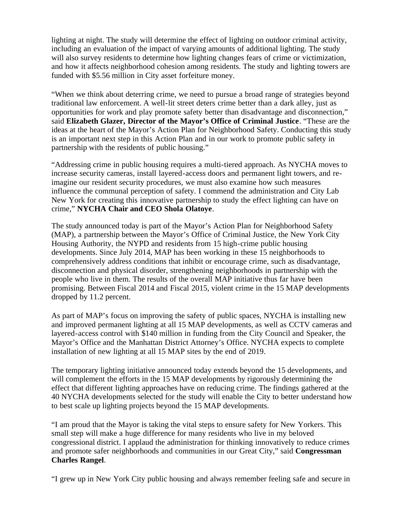lighting at night. The study will determine the effect of lighting on outdoor criminal activity, including an evaluation of the impact of varying amounts of additional lighting. The study will also survey residents to determine how lighting changes fears of crime or victimization, and how it affects neighborhood cohesion among residents. The study and lighting towers are funded with \$5.56 million in City asset forfeiture money.

"When we think about deterring crime, we need to pursue a broad range of strategies beyond traditional law enforcement. A well-lit street deters crime better than a dark alley, just as opportunities for work and play promote safety better than disadvantage and disconnection," said **Elizabeth Glazer, Director of the Mayor's Office of Criminal Justice**. "These are the ideas at the heart of the Mayor's Action Plan for Neighborhood Safety. Conducting this study is an important next step in this Action Plan and in our work to promote public safety in partnership with the residents of public housing."

"Addressing crime in public housing requires a multi-tiered approach. As NYCHA moves to increase security cameras, install layered-access doors and permanent light towers, and reimagine our resident security procedures, we must also examine how such measures influence the communal perception of safety. I commend the administration and City Lab New York for creating this innovative partnership to study the effect lighting can have on crime," **NYCHA Chair and CEO Shola Olatoye**.

The study announced today is part of the Mayor's Action Plan for Neighborhood Safety (MAP), a partnership between the Mayor's Office of Criminal Justice, the New York City Housing Authority, the NYPD and residents from 15 high-crime public housing developments. Since July 2014, MAP has been working in these 15 neighborhoods to comprehensively address conditions that inhibit or encourage crime, such as disadvantage, disconnection and physical disorder, strengthening neighborhoods in partnership with the people who live in them. The results of the overall MAP initiative thus far have been promising. Between Fiscal 2014 and Fiscal 2015, violent crime in the 15 MAP developments dropped by 11.2 percent.

As part of MAP's focus on improving the safety of public spaces, NYCHA is installing new and improved permanent lighting at all 15 MAP developments, as well as CCTV cameras and layered-access control with \$140 million in funding from the City Council and Speaker, the Mayor's Office and the Manhattan District Attorney's Office. NYCHA expects to complete installation of new lighting at all 15 MAP sites by the end of 2019.

The temporary lighting initiative announced today extends beyond the 15 developments, and will complement the efforts in the 15 MAP developments by rigorously determining the effect that different lighting approaches have on reducing crime. The findings gathered at the 40 NYCHA developments selected for the study will enable the City to better understand how to best scale up lighting projects beyond the 15 MAP developments.

"I am proud that the Mayor is taking the vital steps to ensure safety for New Yorkers. This small step will make a huge difference for many residents who live in my beloved congressional district. I applaud the administration for thinking innovatively to reduce crimes and promote safer neighborhoods and communities in our Great City," said **Congressman Charles Rangel**.

"I grew up in New York City public housing and always remember feeling safe and secure in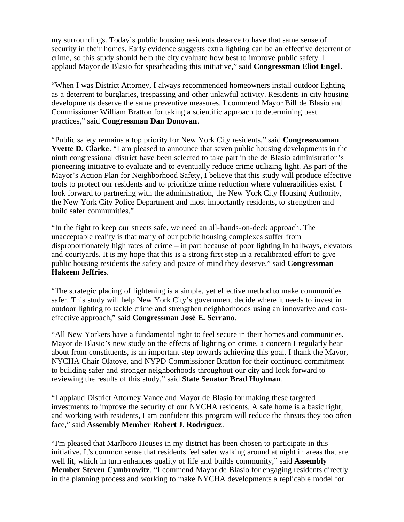my surroundings. Today's public housing residents deserve to have that same sense of security in their homes. Early evidence suggests extra lighting can be an effective deterrent of crime, so this study should help the city evaluate how best to improve public safety. I applaud Mayor de Blasio for spearheading this initiative," said **Congressman Eliot Engel**.

"When I was District Attorney, I always recommended homeowners install outdoor lighting as a deterrent to burglaries, trespassing and other unlawful activity. Residents in city housing developments deserve the same preventive measures. I commend Mayor Bill de Blasio and Commissioner William Bratton for taking a scientific approach to determining best practices," said **Congressman Dan Donovan**.

"Public safety remains a top priority for New York City residents," said **Congresswoman Yvette D. Clarke**. "I am pleased to announce that seven public housing developments in the ninth congressional district have been selected to take part in the de Blasio administration's pioneering initiative to evaluate and to eventually reduce crime utilizing light. As part of the Mayor's Action Plan for Neighborhood Safety, I believe that this study will produce effective tools to protect our residents and to prioritize crime reduction where vulnerabilities exist. I look forward to partnering with the administration, the New York City Housing Authority, the New York City Police Department and most importantly residents, to strengthen and build safer communities."

"In the fight to keep our streets safe, we need an all-hands-on-deck approach. The unacceptable reality is that many of our public housing complexes suffer from disproportionately high rates of crime – in part because of poor lighting in hallways, elevators and courtyards. It is my hope that this is a strong first step in a recalibrated effort to give public housing residents the safety and peace of mind they deserve," said **Congressman Hakeem Jeffries**.

"The strategic placing of lightening is a simple, yet effective method to make communities safer. This study will help New York City's government decide where it needs to invest in outdoor lighting to tackle crime and strengthen neighborhoods using an innovative and costeffective approach," said **Congressman José E. Serrano**.

"All New Yorkers have a fundamental right to feel secure in their homes and communities. Mayor de Blasio's new study on the effects of lighting on crime, a concern I regularly hear about from constituents, is an important step towards achieving this goal. I thank the Mayor, NYCHA Chair Olatoye, and NYPD Commissioner Bratton for their continued commitment to building safer and stronger neighborhoods throughout our city and look forward to reviewing the results of this study," said **State Senator Brad Hoylman**.

"I applaud District Attorney Vance and Mayor de Blasio for making these targeted investments to improve the security of our NYCHA residents. A safe home is a basic right, and working with residents, I am confident this program will reduce the threats they too often face," said **Assembly Member Robert J. Rodriguez**.

"I'm pleased that Marlboro Houses in my district has been chosen to participate in this initiative. It's common sense that residents feel safer walking around at night in areas that are well lit, which in turn enhances quality of life and builds community," said **Assembly Member Steven Cymbrowitz**. "I commend Mayor de Blasio for engaging residents directly in the planning process and working to make NYCHA developments a replicable model for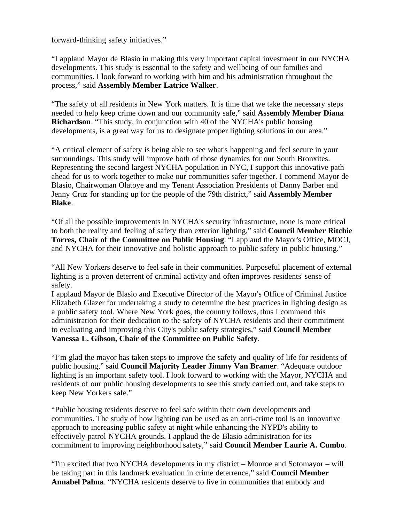forward-thinking safety initiatives."

"I applaud Mayor de Blasio in making this very important capital investment in our NYCHA developments. This study is essential to the safety and wellbeing of our families and communities. I look forward to working with him and his administration throughout the process," said **Assembly Member Latrice Walker**.

"The safety of all residents in New York matters. It is time that we take the necessary steps needed to help keep crime down and our community safe," said **Assembly Member Diana Richardson**. "This study, in conjunction with 40 of the NYCHA's public housing developments, is a great way for us to designate proper lighting solutions in our area."

"A critical element of safety is being able to see what's happening and feel secure in your surroundings. This study will improve both of those dynamics for our South Bronxites. Representing the second largest NYCHA population in NYC, I support this innovative path ahead for us to work together to make our communities safer together. I commend Mayor de Blasio, Chairwoman Olatoye and my Tenant Association Presidents of Danny Barber and Jenny Cruz for standing up for the people of the 79th district," said **Assembly Member Blake**.

"Of all the possible improvements in NYCHA's security infrastructure, none is more critical to both the reality and feeling of safety than exterior lighting," said **Council Member Ritchie Torres, Chair of the Committee on Public Housing**. "I applaud the Mayor's Office, MOCJ, and NYCHA for their innovative and holistic approach to public safety in public housing."

"All New Yorkers deserve to feel safe in their communities. Purposeful placement of external lighting is a proven deterrent of criminal activity and often improves residents' sense of safety.

I applaud Mayor de Blasio and Executive Director of the Mayor's Office of Criminal Justice Elizabeth Glazer for undertaking a study to determine the best practices in lighting design as a public safety tool. Where New York goes, the country follows, thus I commend this administration for their dedication to the safety of NYCHA residents and their commitment to evaluating and improving this City's public safety strategies," said **Council Member Vanessa L. Gibson, Chair of the Committee on Public Safety**.

"I'm glad the mayor has taken steps to improve the safety and quality of life for residents of public housing," said **Council Majority Leader Jimmy Van Bramer**. "Adequate outdoor lighting is an important safety tool. I look forward to working with the Mayor, NYCHA and residents of our public housing developments to see this study carried out, and take steps to keep New Yorkers safe."

"Public housing residents deserve to feel safe within their own developments and communities. The study of how lighting can be used as an anti-crime tool is an innovative approach to increasing public safety at night while enhancing the NYPD's ability to effectively patrol NYCHA grounds. I applaud the de Blasio administration for its commitment to improving neighborhood safety," said **Council Member Laurie A. Cumbo**.

"I'm excited that two NYCHA developments in my district – Monroe and Sotomayor – will be taking part in this landmark evaluation in crime deterrence," said **Council Member Annabel Palma**. "NYCHA residents deserve to live in communities that embody and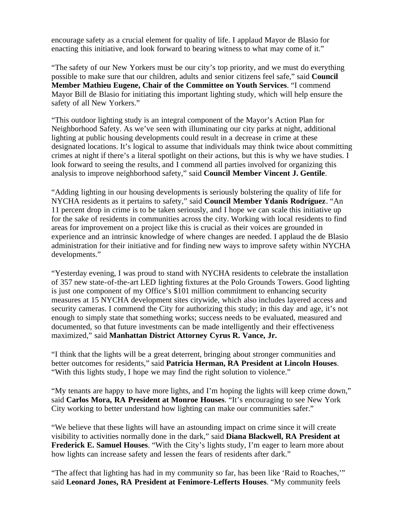encourage safety as a crucial element for quality of life. I applaud Mayor de Blasio for enacting this initiative, and look forward to bearing witness to what may come of it."

"The safety of our New Yorkers must be our city's top priority, and we must do everything possible to make sure that our children, adults and senior citizens feel safe," said **Council Member Mathieu Eugene, Chair of the Committee on Youth Services**. "I commend Mayor Bill de Blasio for initiating this important lighting study, which will help ensure the safety of all New Yorkers."

"This outdoor lighting study is an integral component of the Mayor's Action Plan for Neighborhood Safety. As we've seen with illuminating our city parks at night, additional lighting at public housing developments could result in a decrease in crime at these designated locations. It's logical to assume that individuals may think twice about committing crimes at night if there's a literal spotlight on their actions, but this is why we have studies. I look forward to seeing the results, and I commend all parties involved for organizing this analysis to improve neighborhood safety," said **Council Member Vincent J. Gentile**.

"Adding lighting in our housing developments is seriously bolstering the quality of life for NYCHA residents as it pertains to safety," said **Council Member Ydanis Rodríguez**. "An 11 percent drop in crime is to be taken seriously, and I hope we can scale this initiative up for the sake of residents in communities across the city. Working with local residents to find areas for improvement on a project like this is crucial as their voices are grounded in experience and an intrinsic knowledge of where changes are needed. I applaud the de Blasio administration for their initiative and for finding new ways to improve safety within NYCHA developments."

"Yesterday evening, I was proud to stand with NYCHA residents to celebrate the installation of 357 new state-of-the-art LED lighting fixtures at the Polo Grounds Towers. Good lighting is just one component of my Office's \$101 million commitment to enhancing security measures at 15 NYCHA development sites citywide, which also includes layered access and security cameras. I commend the City for authorizing this study; in this day and age, it's not enough to simply state that something works; success needs to be evaluated, measured and documented, so that future investments can be made intelligently and their effectiveness maximized," said **Manhattan District Attorney Cyrus R. Vance, Jr.**

"I think that the lights will be a great deterrent, bringing about stronger communities and better outcomes for residents," said **Patricia Herman, RA President at Lincoln Houses**. "With this lights study, I hope we may find the right solution to violence."

"My tenants are happy to have more lights, and I'm hoping the lights will keep crime down," said **Carlos Mora, RA President at Monroe Houses**. "It's encouraging to see New York City working to better understand how lighting can make our communities safer."

"We believe that these lights will have an astounding impact on crime since it will create visibility to activities normally done in the dark," said **Diana Blackwell, RA President at Frederick E. Samuel Houses**. "With the City's lights study, I'm eager to learn more about how lights can increase safety and lessen the fears of residents after dark."

"The affect that lighting has had in my community so far, has been like 'Raid to Roaches,'" said **Leonard Jones, RA President at Fenimore-Lefferts Houses**. "My community feels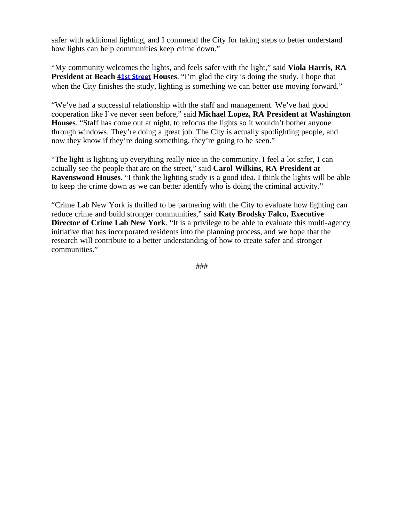safer with additional lighting, and I commend the City for taking steps to better understand how lights can help communities keep crime down."

"My community welcomes the lights, and feels safer with the light," said **Viola Harris, RA President at Beach 41st Street Houses**. "I'm glad the city is doing the study. I hope that when the City finishes the study, lighting is something we can better use moving forward."

"We've had a successful relationship with the staff and management. We've had good cooperation like I've never seen before," said **Michael Lopez, RA President at Washington Houses**. "Staff has come out at night, to refocus the lights so it wouldn't bother anyone through windows. They're doing a great job. The City is actually spotlighting people, and now they know if they're doing something, they're going to be seen."

"The light is lighting up everything really nice in the community. I feel a lot safer, I can actually see the people that are on the street," said **Carol Wilkins, RA President at Ravenswood Houses**. "I think the lighting study is a good idea. I think the lights will be able to keep the crime down as we can better identify who is doing the criminal activity."

"Crime Lab New York is thrilled to be partnering with the City to evaluate how lighting can reduce crime and build stronger communities," said **Katy Brodsky Falco, Executive Director of Crime Lab New York**. "It is a privilege to be able to evaluate this multi-agency initiative that has incorporated residents into the planning process, and we hope that the research will contribute to a better understanding of how to create safer and stronger communities."

###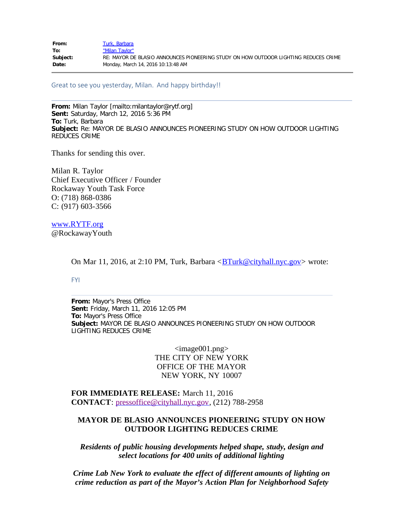| From:    | Turk, Barbara                                                                        |
|----------|--------------------------------------------------------------------------------------|
| To:      | "Milan Taylor"                                                                       |
| Subject: | RE: MAYOR DE BLASIO ANNOUNCES PIONEERING STUDY ON HOW OUTDOOR LIGHTING REDUCES CRIME |
| Date:    | Monday, March 14, 2016 10:13:48 AM                                                   |

Great to see you yesterday, Milan. And happy birthday!!

**From:** Milan Taylor [mailto:milantaylor@rytf.org] **Sent:** Saturday, March 12, 2016 5:36 PM **To:** Turk, Barbara **Subject:** Re: MAYOR DE BLASIO ANNOUNCES PIONEERING STUDY ON HOW OUTDOOR LIGHTING REDUCES CRIME

Thanks for sending this over.

Milan R. Taylor Chief Executive Officer / Founder Rockaway Youth Task Force O: (718) 868-0386 C: (917) 603-3566

www.RYTF.org @RockawayYouth

On Mar 11, 2016, at 2:10 PM, Turk, Barbara  $\leq$ BTurk@cityhall.nyc.gov> wrote:

FYI

**From:** Mayor's Press Office **Sent:** Friday, March 11, 2016 12:05 PM **To:** Mayor's Press Office **Subject:** MAYOR DE BLASIO ANNOUNCES PIONEERING STUDY ON HOW OUTDOOR LIGHTING REDUCES CRIME

> $\langle \text{image}001.\text{png} \rangle$ THE CITY OF NEW YORK OFFICE OF THE MAYOR NEW YORK, NY 10007

**FOR IMMEDIATE RELEASE:** March 11, 2016 **CONTACT**: pressoffice@cityhall.nyc.gov, (212) 788-2958

#### **MAYOR DE BLASIO ANNOUNCES PIONEERING STUDY ON HOW OUTDOOR LIGHTING REDUCES CRIME**

*Residents of public housing developments helped shape, study, design and select locations for 400 units of additional lighting*

*Crime Lab New York to evaluate the effect of different amounts of lighting on crime reduction as part of the Mayor's Action Plan for Neighborhood Safety*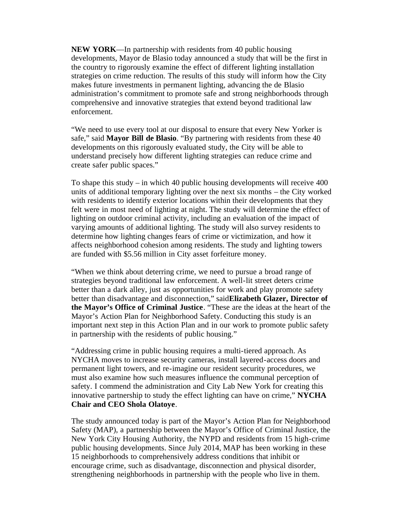**NEW YORK**––In partnership with residents from 40 public housing developments, Mayor de Blasio today announced a study that will be the first in the country to rigorously examine the effect of different lighting installation strategies on crime reduction. The results of this study will inform how the City makes future investments in permanent lighting, advancing the de Blasio administration's commitment to promote safe and strong neighborhoods through comprehensive and innovative strategies that extend beyond traditional law enforcement.

"We need to use every tool at our disposal to ensure that every New Yorker is safe," said **Mayor Bill de Blasio**. "By partnering with residents from these 40 developments on this rigorously evaluated study, the City will be able to understand precisely how different lighting strategies can reduce crime and create safer public spaces."

To shape this study – in which 40 public housing developments will receive 400 units of additional temporary lighting over the next six months – the City worked with residents to identify exterior locations within their developments that they felt were in most need of lighting at night. The study will determine the effect of lighting on outdoor criminal activity, including an evaluation of the impact of varying amounts of additional lighting. The study will also survey residents to determine how lighting changes fears of crime or victimization, and how it affects neighborhood cohesion among residents. The study and lighting towers are funded with \$5.56 million in City asset forfeiture money.

"When we think about deterring crime, we need to pursue a broad range of strategies beyond traditional law enforcement. A well-lit street deters crime better than a dark alley, just as opportunities for work and play promote safety better than disadvantage and disconnection," said**Elizabeth Glazer, Director of the Mayor's Office of Criminal Justice**. "These are the ideas at the heart of the Mayor's Action Plan for Neighborhood Safety. Conducting this study is an important next step in this Action Plan and in our work to promote public safety in partnership with the residents of public housing."

"Addressing crime in public housing requires a multi-tiered approach. As NYCHA moves to increase security cameras, install layered-access doors and permanent light towers, and re-imagine our resident security procedures, we must also examine how such measures influence the communal perception of safety. I commend the administration and City Lab New York for creating this innovative partnership to study the effect lighting can have on crime," **NYCHA Chair and CEO Shola Olatoye**.

The study announced today is part of the Mayor's Action Plan for Neighborhood Safety (MAP), a partnership between the Mayor's Office of Criminal Justice, the New York City Housing Authority, the NYPD and residents from 15 high-crime public housing developments. Since July 2014, MAP has been working in these 15 neighborhoods to comprehensively address conditions that inhibit or encourage crime, such as disadvantage, disconnection and physical disorder, strengthening neighborhoods in partnership with the people who live in them.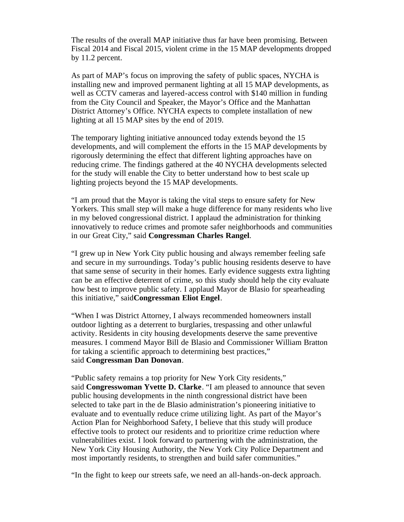The results of the overall MAP initiative thus far have been promising. Between Fiscal 2014 and Fiscal 2015, violent crime in the 15 MAP developments dropped by 11.2 percent.

As part of MAP's focus on improving the safety of public spaces, NYCHA is installing new and improved permanent lighting at all 15 MAP developments, as well as CCTV cameras and layered-access control with \$140 million in funding from the City Council and Speaker, the Mayor's Office and the Manhattan District Attorney's Office. NYCHA expects to complete installation of new lighting at all 15 MAP sites by the end of 2019.

The temporary lighting initiative announced today extends beyond the 15 developments, and will complement the efforts in the 15 MAP developments by rigorously determining the effect that different lighting approaches have on reducing crime. The findings gathered at the 40 NYCHA developments selected for the study will enable the City to better understand how to best scale up lighting projects beyond the 15 MAP developments.

"I am proud that the Mayor is taking the vital steps to ensure safety for New Yorkers. This small step will make a huge difference for many residents who live in my beloved congressional district. I applaud the administration for thinking innovatively to reduce crimes and promote safer neighborhoods and communities in our Great City," said **Congressman Charles Rangel**.

"I grew up in New York City public housing and always remember feeling safe and secure in my surroundings. Today's public housing residents deserve to have that same sense of security in their homes. Early evidence suggests extra lighting can be an effective deterrent of crime, so this study should help the city evaluate how best to improve public safety. I applaud Mayor de Blasio for spearheading this initiative," said**Congressman Eliot Engel**.

"When I was District Attorney, I always recommended homeowners install outdoor lighting as a deterrent to burglaries, trespassing and other unlawful activity. Residents in city housing developments deserve the same preventive measures. I commend Mayor Bill de Blasio and Commissioner William Bratton for taking a scientific approach to determining best practices," said **Congressman Dan Donovan**.

"Public safety remains a top priority for New York City residents," said **Congresswoman Yvette D. Clarke**. "I am pleased to announce that seven public housing developments in the ninth congressional district have been selected to take part in the de Blasio administration's pioneering initiative to evaluate and to eventually reduce crime utilizing light. As part of the Mayor's Action Plan for Neighborhood Safety, I believe that this study will produce effective tools to protect our residents and to prioritize crime reduction where vulnerabilities exist. I look forward to partnering with the administration, the New York City Housing Authority, the New York City Police Department and most importantly residents, to strengthen and build safer communities."

"In the fight to keep our streets safe, we need an all-hands-on-deck approach.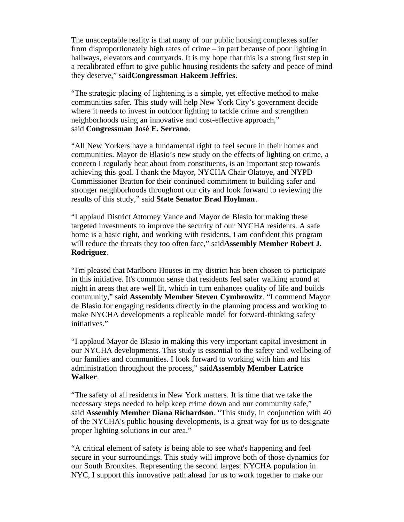The unacceptable reality is that many of our public housing complexes suffer from disproportionately high rates of crime – in part because of poor lighting in hallways, elevators and courtyards. It is my hope that this is a strong first step in a recalibrated effort to give public housing residents the safety and peace of mind they deserve," said**Congressman Hakeem Jeffries**.

"The strategic placing of lightening is a simple, yet effective method to make communities safer. This study will help New York City's government decide where it needs to invest in outdoor lighting to tackle crime and strengthen neighborhoods using an innovative and cost-effective approach," said **Congressman José E. Serrano**.

"All New Yorkers have a fundamental right to feel secure in their homes and communities. Mayor de Blasio's new study on the effects of lighting on crime, a concern I regularly hear about from constituents, is an important step towards achieving this goal. I thank the Mayor, NYCHA Chair Olatoye, and NYPD Commissioner Bratton for their continued commitment to building safer and stronger neighborhoods throughout our city and look forward to reviewing the results of this study," said **State Senator Brad Hoylman**.

"I applaud District Attorney Vance and Mayor de Blasio for making these targeted investments to improve the security of our NYCHA residents. A safe home is a basic right, and working with residents, I am confident this program will reduce the threats they too often face," said**Assembly Member Robert J. Rodriguez**.

"I'm pleased that Marlboro Houses in my district has been chosen to participate in this initiative. It's common sense that residents feel safer walking around at night in areas that are well lit, which in turn enhances quality of life and builds community," said **Assembly Member Steven Cymbrowitz**. "I commend Mayor de Blasio for engaging residents directly in the planning process and working to make NYCHA developments a replicable model for forward-thinking safety initiatives."

"I applaud Mayor de Blasio in making this very important capital investment in our NYCHA developments. This study is essential to the safety and wellbeing of our families and communities. I look forward to working with him and his administration throughout the process," said**Assembly Member Latrice Walker**.

"The safety of all residents in New York matters. It is time that we take the necessary steps needed to help keep crime down and our community safe," said **Assembly Member Diana Richardson**. "This study, in conjunction with 40 of the NYCHA's public housing developments, is a great way for us to designate proper lighting solutions in our area."

"A critical element of safety is being able to see what's happening and feel secure in your surroundings. This study will improve both of those dynamics for our South Bronxites. Representing the second largest NYCHA population in NYC, I support this innovative path ahead for us to work together to make our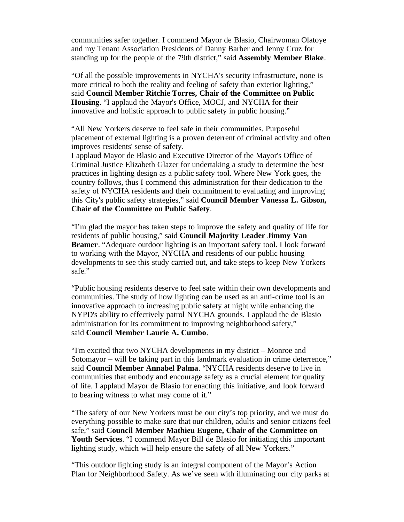communities safer together. I commend Mayor de Blasio, Chairwoman Olatoye and my Tenant Association Presidents of Danny Barber and Jenny Cruz for standing up for the people of the 79th district," said **Assembly Member Blake**.

"Of all the possible improvements in NYCHA's security infrastructure, none is more critical to both the reality and feeling of safety than exterior lighting," said **Council Member Ritchie Torres, Chair of the Committee on Public Housing**. "I applaud the Mayor's Office, MOCJ, and NYCHA for their innovative and holistic approach to public safety in public housing."

"All New Yorkers deserve to feel safe in their communities. Purposeful placement of external lighting is a proven deterrent of criminal activity and often improves residents' sense of safety.

I applaud Mayor de Blasio and Executive Director of the Mayor's Office of Criminal Justice Elizabeth Glazer for undertaking a study to determine the best practices in lighting design as a public safety tool. Where New York goes, the country follows, thus I commend this administration for their dedication to the safety of NYCHA residents and their commitment to evaluating and improving this City's public safety strategies," said **Council Member Vanessa L. Gibson, Chair of the Committee on Public Safety**.

"I'm glad the mayor has taken steps to improve the safety and quality of life for residents of public housing," said **Council Majority Leader Jimmy Van Bramer**. "Adequate outdoor lighting is an important safety tool. I look forward to working with the Mayor, NYCHA and residents of our public housing developments to see this study carried out, and take steps to keep New Yorkers safe."

"Public housing residents deserve to feel safe within their own developments and communities. The study of how lighting can be used as an anti-crime tool is an innovative approach to increasing public safety at night while enhancing the NYPD's ability to effectively patrol NYCHA grounds. I applaud the de Blasio administration for its commitment to improving neighborhood safety," said **Council Member Laurie A. Cumbo**.

"I'm excited that two NYCHA developments in my district – Monroe and Sotomayor – will be taking part in this landmark evaluation in crime deterrence," said **Council Member Annabel Palma**. "NYCHA residents deserve to live in communities that embody and encourage safety as a crucial element for quality of life. I applaud Mayor de Blasio for enacting this initiative, and look forward to bearing witness to what may come of it."

"The safety of our New Yorkers must be our city's top priority, and we must do everything possible to make sure that our children, adults and senior citizens feel safe," said **Council Member Mathieu Eugene, Chair of the Committee on Youth Services**. "I commend Mayor Bill de Blasio for initiating this important lighting study, which will help ensure the safety of all New Yorkers."

"This outdoor lighting study is an integral component of the Mayor's Action Plan for Neighborhood Safety. As we've seen with illuminating our city parks at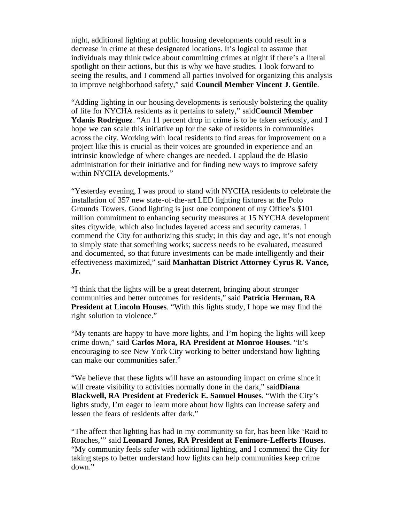night, additional lighting at public housing developments could result in a decrease in crime at these designated locations. It's logical to assume that individuals may think twice about committing crimes at night if there's a literal spotlight on their actions, but this is why we have studies. I look forward to seeing the results, and I commend all parties involved for organizing this analysis to improve neighborhood safety," said **Council Member Vincent J. Gentile**.

"Adding lighting in our housing developments is seriously bolstering the quality of life for NYCHA residents as it pertains to safety," said**Council Member Ydanis Rodríguez**. "An 11 percent drop in crime is to be taken seriously, and I hope we can scale this initiative up for the sake of residents in communities across the city. Working with local residents to find areas for improvement on a project like this is crucial as their voices are grounded in experience and an intrinsic knowledge of where changes are needed. I applaud the de Blasio administration for their initiative and for finding new ways to improve safety within NYCHA developments."

"Yesterday evening, I was proud to stand with NYCHA residents to celebrate the installation of 357 new state-of-the-art LED lighting fixtures at the Polo Grounds Towers. Good lighting is just one component of my Office's \$101 million commitment to enhancing security measures at 15 NYCHA development sites citywide, which also includes layered access and security cameras. I commend the City for authorizing this study; in this day and age, it's not enough to simply state that something works; success needs to be evaluated, measured and documented, so that future investments can be made intelligently and their effectiveness maximized," said **Manhattan District Attorney Cyrus R. Vance, Jr.**

"I think that the lights will be a great deterrent, bringing about stronger communities and better outcomes for residents," said **Patricia Herman, RA President at Lincoln Houses**. "With this lights study, I hope we may find the right solution to violence."

"My tenants are happy to have more lights, and I'm hoping the lights will keep crime down," said **Carlos Mora, RA President at Monroe Houses**. "It's encouraging to see New York City working to better understand how lighting can make our communities safer."

"We believe that these lights will have an astounding impact on crime since it will create visibility to activities normally done in the dark," said**Diana Blackwell, RA President at Frederick E. Samuel Houses**. "With the City's lights study, I'm eager to learn more about how lights can increase safety and lessen the fears of residents after dark."

"The affect that lighting has had in my community so far, has been like 'Raid to Roaches,'" said **Leonard Jones, RA President at Fenimore-Lefferts Houses**. "My community feels safer with additional lighting, and I commend the City for taking steps to better understand how lights can help communities keep crime down."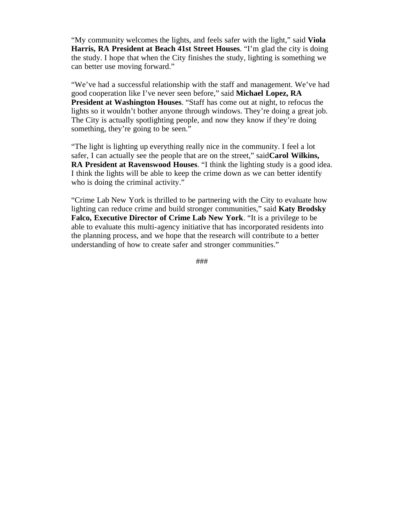"My community welcomes the lights, and feels safer with the light," said **Viola Harris, RA President at Beach 41st Street Houses**. "I'm glad the city is doing the study. I hope that when the City finishes the study, lighting is something we can better use moving forward."

"We've had a successful relationship with the staff and management. We've had good cooperation like I've never seen before," said **Michael Lopez, RA President at Washington Houses**. "Staff has come out at night, to refocus the lights so it wouldn't bother anyone through windows. They're doing a great job. The City is actually spotlighting people, and now they know if they're doing something, they're going to be seen."

"The light is lighting up everything really nice in the community. I feel a lot safer, I can actually see the people that are on the street," said**Carol Wilkins, RA President at Ravenswood Houses**. "I think the lighting study is a good idea. I think the lights will be able to keep the crime down as we can better identify who is doing the criminal activity."

"Crime Lab New York is thrilled to be partnering with the City to evaluate how lighting can reduce crime and build stronger communities," said **Katy Brodsky Falco, Executive Director of Crime Lab New York**. "It is a privilege to be able to evaluate this multi-agency initiative that has incorporated residents into the planning process, and we hope that the research will contribute to a better understanding of how to create safer and stronger communities."

###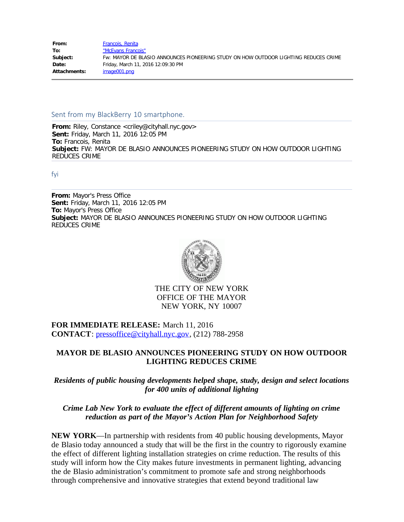| From:               | Francois, Renita                                                                     |
|---------------------|--------------------------------------------------------------------------------------|
| To:                 | "McEvans Francois"                                                                   |
| Subject:            | Fw: MAYOR DE BLASIO ANNOUNCES PIONEERING STUDY ON HOW OUTDOOR LIGHTING REDUCES CRIME |
| Date:               | Friday, March 11, 2016 12:09:30 PM                                                   |
| <b>Attachments:</b> | image001.png                                                                         |

Sent from my BlackBerry 10 smartphone.

**From:** Riley, Constance <criley@cityhall.nyc.gov> **Sent:** Friday, March 11, 2016 12:05 PM **To:** Francois, Renita **Subject:** FW: MAYOR DE BLASIO ANNOUNCES PIONEERING STUDY ON HOW OUTDOOR LIGHTING REDUCES CRIME

fyi

**From:** Mayor's Press Office **Sent:** Friday, March 11, 2016 12:05 PM **To:** Mayor's Press Office **Subject:** MAYOR DE BLASIO ANNOUNCES PIONEERING STUDY ON HOW OUTDOOR LIGHTING REDUCES CRIME



THE CITY OF NEW YORK OFFICE OF THE MAYOR NEW YORK, NY 10007

**FOR IMMEDIATE RELEASE:** March 11, 2016 **CONTACT**: pressoffice@cityhall.nyc.gov, (212) 788-2958

#### **MAYOR DE BLASIO ANNOUNCES PIONEERING STUDY ON HOW OUTDOOR LIGHTING REDUCES CRIME**

*Residents of public housing developments helped shape, study, design and select locations for 400 units of additional lighting*

*Crime Lab New York to evaluate the effect of different amounts of lighting on crime reduction as part of the Mayor's Action Plan for Neighborhood Safety*

**NEW YORK**––In partnership with residents from 40 public housing developments, Mayor de Blasio today announced a study that will be the first in the country to rigorously examine the effect of different lighting installation strategies on crime reduction. The results of this study will inform how the City makes future investments in permanent lighting, advancing the de Blasio administration's commitment to promote safe and strong neighborhoods through comprehensive and innovative strategies that extend beyond traditional law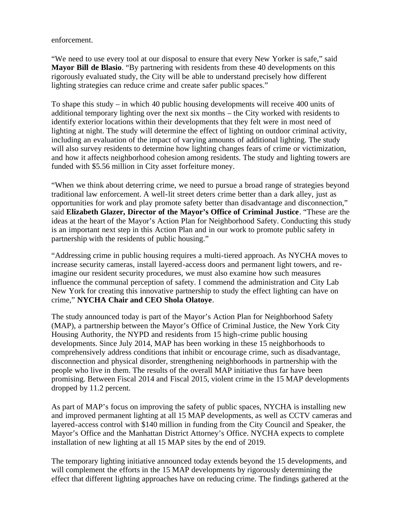enforcement.

"We need to use every tool at our disposal to ensure that every New Yorker is safe," said **Mayor Bill de Blasio**. "By partnering with residents from these 40 developments on this rigorously evaluated study, the City will be able to understand precisely how different lighting strategies can reduce crime and create safer public spaces."

To shape this study – in which 40 public housing developments will receive 400 units of additional temporary lighting over the next six months – the City worked with residents to identify exterior locations within their developments that they felt were in most need of lighting at night. The study will determine the effect of lighting on outdoor criminal activity, including an evaluation of the impact of varying amounts of additional lighting. The study will also survey residents to determine how lighting changes fears of crime or victimization, and how it affects neighborhood cohesion among residents. The study and lighting towers are funded with \$5.56 million in City asset forfeiture money.

"When we think about deterring crime, we need to pursue a broad range of strategies beyond traditional law enforcement. A well-lit street deters crime better than a dark alley, just as opportunities for work and play promote safety better than disadvantage and disconnection," said **Elizabeth Glazer, Director of the Mayor's Office of Criminal Justice**. "These are the ideas at the heart of the Mayor's Action Plan for Neighborhood Safety. Conducting this study is an important next step in this Action Plan and in our work to promote public safety in partnership with the residents of public housing."

"Addressing crime in public housing requires a multi-tiered approach. As NYCHA moves to increase security cameras, install layered-access doors and permanent light towers, and reimagine our resident security procedures, we must also examine how such measures influence the communal perception of safety. I commend the administration and City Lab New York for creating this innovative partnership to study the effect lighting can have on crime," **NYCHA Chair and CEO Shola Olatoye**.

The study announced today is part of the Mayor's Action Plan for Neighborhood Safety (MAP), a partnership between the Mayor's Office of Criminal Justice, the New York City Housing Authority, the NYPD and residents from 15 high-crime public housing developments. Since July 2014, MAP has been working in these 15 neighborhoods to comprehensively address conditions that inhibit or encourage crime, such as disadvantage, disconnection and physical disorder, strengthening neighborhoods in partnership with the people who live in them. The results of the overall MAP initiative thus far have been promising. Between Fiscal 2014 and Fiscal 2015, violent crime in the 15 MAP developments dropped by 11.2 percent.

As part of MAP's focus on improving the safety of public spaces, NYCHA is installing new and improved permanent lighting at all 15 MAP developments, as well as CCTV cameras and layered-access control with \$140 million in funding from the City Council and Speaker, the Mayor's Office and the Manhattan District Attorney's Office. NYCHA expects to complete installation of new lighting at all 15 MAP sites by the end of 2019.

The temporary lighting initiative announced today extends beyond the 15 developments, and will complement the efforts in the 15 MAP developments by rigorously determining the effect that different lighting approaches have on reducing crime. The findings gathered at the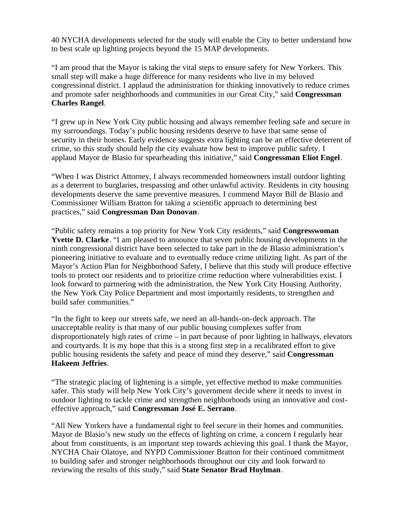40 NYCHA developments selected for the study will enable the City to better understand how to best scale up lighting projects beyond the 15 MAP developments.

"I am proud that the Mayor is taking the vital steps to ensure safety for New Yorkers. This small step will make a huge difference for many residents who live in my beloved congressional district. I applaud the administration for thinking innovatively to reduce crimes and promote safer neighborhoods and communities in our Great City," said **Congressman Charles Rangel**.

"I grew up in New York City public housing and always remember feeling safe and secure in my surroundings. Today's public housing residents deserve to have that same sense of security in their homes. Early evidence suggests extra lighting can be an effective deterrent of crime, so this study should help the city evaluate how best to improve public safety. I applaud Mayor de Blasio for spearheading this initiative," said **Congressman Eliot Engel**.

"When I was District Attorney, I always recommended homeowners install outdoor lighting as a deterrent to burglaries, trespassing and other unlawful activity. Residents in city housing developments deserve the same preventive measures. I commend Mayor Bill de Blasio and Commissioner William Bratton for taking a scientific approach to determining best practices," said **Congressman Dan Donovan**.

"Public safety remains a top priority for New York City residents," said **Congresswoman Yvette D. Clarke**. "I am pleased to announce that seven public housing developments in the ninth congressional district have been selected to take part in the de Blasio administration's pioneering initiative to evaluate and to eventually reduce crime utilizing light. As part of the Mayor's Action Plan for Neighborhood Safety, I believe that this study will produce effective tools to protect our residents and to prioritize crime reduction where vulnerabilities exist. I look forward to partnering with the administration, the New York City Housing Authority, the New York City Police Department and most importantly residents, to strengthen and build safer communities."

"In the fight to keep our streets safe, we need an all-hands-on-deck approach. The unacceptable reality is that many of our public housing complexes suffer from disproportionately high rates of crime – in part because of poor lighting in hallways, elevators and courtyards. It is my hope that this is a strong first step in a recalibrated effort to give public housing residents the safety and peace of mind they deserve," said **Congressman Hakeem Jeffries**.

"The strategic placing of lightening is a simple, yet effective method to make communities safer. This study will help New York City's government decide where it needs to invest in outdoor lighting to tackle crime and strengthen neighborhoods using an innovative and costeffective approach," said **Congressman José E. Serrano**.

"All New Yorkers have a fundamental right to feel secure in their homes and communities. Mayor de Blasio's new study on the effects of lighting on crime, a concern I regularly hear about from constituents, is an important step towards achieving this goal. I thank the Mayor, NYCHA Chair Olatoye, and NYPD Commissioner Bratton for their continued commitment to building safer and stronger neighborhoods throughout our city and look forward to reviewing the results of this study," said **State Senator Brad Hoylman**.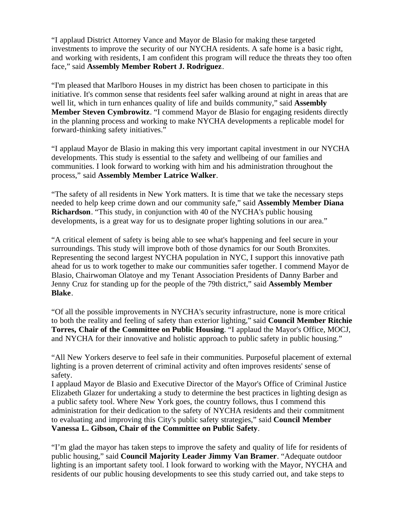"I applaud District Attorney Vance and Mayor de Blasio for making these targeted investments to improve the security of our NYCHA residents. A safe home is a basic right, and working with residents, I am confident this program will reduce the threats they too often face," said **Assembly Member Robert J. Rodriguez**.

"I'm pleased that Marlboro Houses in my district has been chosen to participate in this initiative. It's common sense that residents feel safer walking around at night in areas that are well lit, which in turn enhances quality of life and builds community," said **Assembly Member Steven Cymbrowitz**. "I commend Mayor de Blasio for engaging residents directly in the planning process and working to make NYCHA developments a replicable model for forward-thinking safety initiatives."

"I applaud Mayor de Blasio in making this very important capital investment in our NYCHA developments. This study is essential to the safety and wellbeing of our families and communities. I look forward to working with him and his administration throughout the process," said **Assembly Member Latrice Walker**.

"The safety of all residents in New York matters. It is time that we take the necessary steps needed to help keep crime down and our community safe," said **Assembly Member Diana Richardson**. "This study, in conjunction with 40 of the NYCHA's public housing developments, is a great way for us to designate proper lighting solutions in our area."

"A critical element of safety is being able to see what's happening and feel secure in your surroundings. This study will improve both of those dynamics for our South Bronxites. Representing the second largest NYCHA population in NYC, I support this innovative path ahead for us to work together to make our communities safer together. I commend Mayor de Blasio, Chairwoman Olatoye and my Tenant Association Presidents of Danny Barber and Jenny Cruz for standing up for the people of the 79th district," said **Assembly Member Blake**.

"Of all the possible improvements in NYCHA's security infrastructure, none is more critical to both the reality and feeling of safety than exterior lighting," said **Council Member Ritchie Torres, Chair of the Committee on Public Housing**. "I applaud the Mayor's Office, MOCJ, and NYCHA for their innovative and holistic approach to public safety in public housing."

"All New Yorkers deserve to feel safe in their communities. Purposeful placement of external lighting is a proven deterrent of criminal activity and often improves residents' sense of safety.

I applaud Mayor de Blasio and Executive Director of the Mayor's Office of Criminal Justice Elizabeth Glazer for undertaking a study to determine the best practices in lighting design as a public safety tool. Where New York goes, the country follows, thus I commend this administration for their dedication to the safety of NYCHA residents and their commitment to evaluating and improving this City's public safety strategies," said **Council Member Vanessa L. Gibson, Chair of the Committee on Public Safety**.

"I'm glad the mayor has taken steps to improve the safety and quality of life for residents of public housing," said **Council Majority Leader Jimmy Van Bramer**. "Adequate outdoor lighting is an important safety tool. I look forward to working with the Mayor, NYCHA and residents of our public housing developments to see this study carried out, and take steps to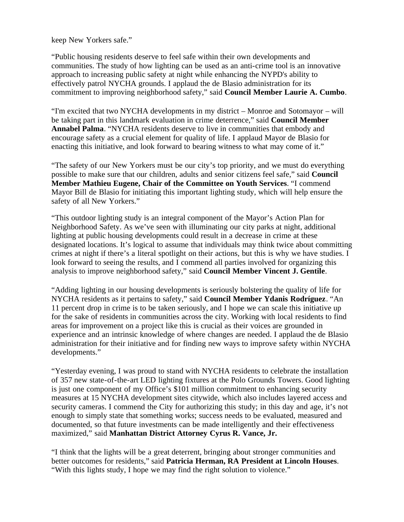keep New Yorkers safe."

"Public housing residents deserve to feel safe within their own developments and communities. The study of how lighting can be used as an anti-crime tool is an innovative approach to increasing public safety at night while enhancing the NYPD's ability to effectively patrol NYCHA grounds. I applaud the de Blasio administration for its commitment to improving neighborhood safety," said **Council Member Laurie A. Cumbo**.

"I'm excited that two NYCHA developments in my district – Monroe and Sotomayor – will be taking part in this landmark evaluation in crime deterrence," said **Council Member Annabel Palma**. "NYCHA residents deserve to live in communities that embody and encourage safety as a crucial element for quality of life. I applaud Mayor de Blasio for enacting this initiative, and look forward to bearing witness to what may come of it."

"The safety of our New Yorkers must be our city's top priority, and we must do everything possible to make sure that our children, adults and senior citizens feel safe," said **Council Member Mathieu Eugene, Chair of the Committee on Youth Services**. "I commend Mayor Bill de Blasio for initiating this important lighting study, which will help ensure the safety of all New Yorkers."

"This outdoor lighting study is an integral component of the Mayor's Action Plan for Neighborhood Safety. As we've seen with illuminating our city parks at night, additional lighting at public housing developments could result in a decrease in crime at these designated locations. It's logical to assume that individuals may think twice about committing crimes at night if there's a literal spotlight on their actions, but this is why we have studies. I look forward to seeing the results, and I commend all parties involved for organizing this analysis to improve neighborhood safety," said **Council Member Vincent J. Gentile**.

"Adding lighting in our housing developments is seriously bolstering the quality of life for NYCHA residents as it pertains to safety," said **Council Member Ydanis Rodríguez**. "An 11 percent drop in crime is to be taken seriously, and I hope we can scale this initiative up for the sake of residents in communities across the city. Working with local residents to find areas for improvement on a project like this is crucial as their voices are grounded in experience and an intrinsic knowledge of where changes are needed. I applaud the de Blasio administration for their initiative and for finding new ways to improve safety within NYCHA developments."

"Yesterday evening, I was proud to stand with NYCHA residents to celebrate the installation of 357 new state-of-the-art LED lighting fixtures at the Polo Grounds Towers. Good lighting is just one component of my Office's \$101 million commitment to enhancing security measures at 15 NYCHA development sites citywide, which also includes layered access and security cameras. I commend the City for authorizing this study; in this day and age, it's not enough to simply state that something works; success needs to be evaluated, measured and documented, so that future investments can be made intelligently and their effectiveness maximized," said **Manhattan District Attorney Cyrus R. Vance, Jr.**

"I think that the lights will be a great deterrent, bringing about stronger communities and better outcomes for residents," said **Patricia Herman, RA President at Lincoln Houses**. "With this lights study, I hope we may find the right solution to violence."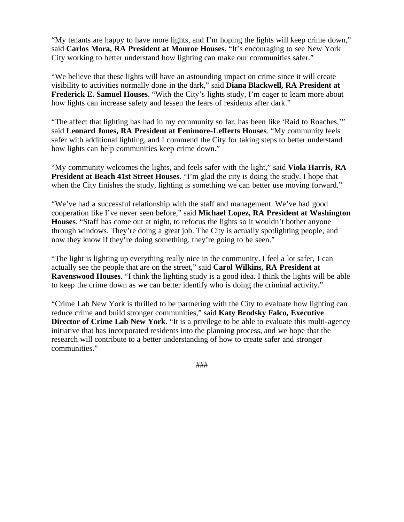"My tenants are happy to have more lights, and I'm hoping the lights will keep crime down," said **Carlos Mora, RA President at Monroe Houses**. "It's encouraging to see New York City working to better understand how lighting can make our communities safer."

"We believe that these lights will have an astounding impact on crime since it will create visibility to activities normally done in the dark," said **Diana Blackwell, RA President at Frederick E. Samuel Houses**. "With the City's lights study, I'm eager to learn more about how lights can increase safety and lessen the fears of residents after dark."

"The affect that lighting has had in my community so far, has been like 'Raid to Roaches,'" said **Leonard Jones, RA President at Fenimore-Lefferts Houses**. "My community feels safer with additional lighting, and I commend the City for taking steps to better understand how lights can help communities keep crime down."

"My community welcomes the lights, and feels safer with the light," said **Viola Harris, RA President at Beach 41st Street Houses**. "I'm glad the city is doing the study. I hope that when the City finishes the study, lighting is something we can better use moving forward."

"We've had a successful relationship with the staff and management. We've had good cooperation like I've never seen before," said **Michael Lopez, RA President at Washington Houses**. "Staff has come out at night, to refocus the lights so it wouldn't bother anyone through windows. They're doing a great job. The City is actually spotlighting people, and now they know if they're doing something, they're going to be seen."

"The light is lighting up everything really nice in the community. I feel a lot safer, I can actually see the people that are on the street," said **Carol Wilkins, RA President at Ravenswood Houses**. "I think the lighting study is a good idea. I think the lights will be able to keep the crime down as we can better identify who is doing the criminal activity."

"Crime Lab New York is thrilled to be partnering with the City to evaluate how lighting can reduce crime and build stronger communities," said **Katy Brodsky Falco, Executive Director of Crime Lab New York**. "It is a privilege to be able to evaluate this multi-agency initiative that has incorporated residents into the planning process, and we hope that the research will contribute to a better understanding of how to create safer and stronger communities."

###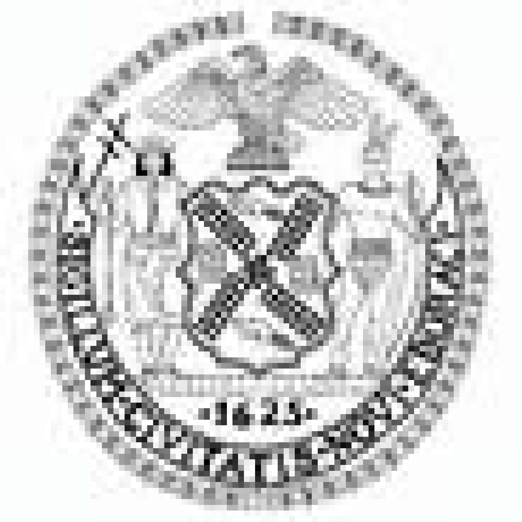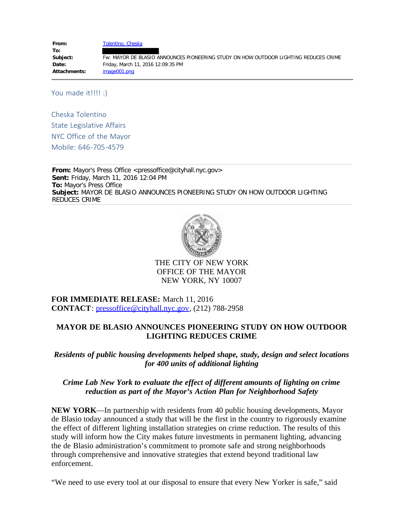From: Tolentino, Cheska **Subject:** Fw: MAYOR DE BLASIO ANNOUNCES PIONEERING STUDY ON HOW OUTDOOR LIGHTING REDUCES CRIME

You made it!!!! :)

**Attachments:** image001.png

**Date:** Friday, March 11, 2016 12:09:35 PM

**To:**

Cheska Tolentino State Legislative Affairs NYC Office of the Mayor Mobile: 646-705-4579

**From:** Mayor's Press Office <pressoffice@cityhall.nyc.gov> **Sent:** Friday, March 11, 2016 12:04 PM **To:** Mayor's Press Office **Subject:** MAYOR DE BLASIO ANNOUNCES PIONEERING STUDY ON HOW OUTDOOR LIGHTING REDUCES CRIME



THE CITY OF NEW YORK OFFICE OF THE MAYOR NEW YORK, NY 10007

**FOR IMMEDIATE RELEASE:** March 11, 2016 **CONTACT**: pressoffice@cityhall.nyc.gov, (212) 788-2958

## **MAYOR DE BLASIO ANNOUNCES PIONEERING STUDY ON HOW OUTDOOR LIGHTING REDUCES CRIME**

*Residents of public housing developments helped shape, study, design and select locations for 400 units of additional lighting*

#### *Crime Lab New York to evaluate the effect of different amounts of lighting on crime reduction as part of the Mayor's Action Plan for Neighborhood Safety*

**NEW YORK**––In partnership with residents from 40 public housing developments, Mayor de Blasio today announced a study that will be the first in the country to rigorously examine the effect of different lighting installation strategies on crime reduction. The results of this study will inform how the City makes future investments in permanent lighting, advancing the de Blasio administration's commitment to promote safe and strong neighborhoods through comprehensive and innovative strategies that extend beyond traditional law enforcement.

"We need to use every tool at our disposal to ensure that every New Yorker is safe," said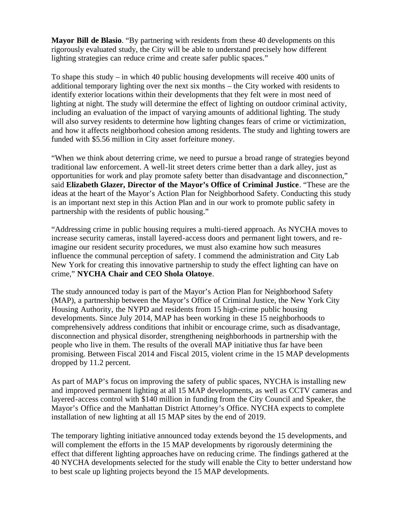**Mayor Bill de Blasio**. "By partnering with residents from these 40 developments on this rigorously evaluated study, the City will be able to understand precisely how different lighting strategies can reduce crime and create safer public spaces."

To shape this study – in which 40 public housing developments will receive 400 units of additional temporary lighting over the next six months – the City worked with residents to identify exterior locations within their developments that they felt were in most need of lighting at night. The study will determine the effect of lighting on outdoor criminal activity, including an evaluation of the impact of varying amounts of additional lighting. The study will also survey residents to determine how lighting changes fears of crime or victimization, and how it affects neighborhood cohesion among residents. The study and lighting towers are funded with \$5.56 million in City asset forfeiture money.

"When we think about deterring crime, we need to pursue a broad range of strategies beyond traditional law enforcement. A well-lit street deters crime better than a dark alley, just as opportunities for work and play promote safety better than disadvantage and disconnection," said **Elizabeth Glazer, Director of the Mayor's Office of Criminal Justice**. "These are the ideas at the heart of the Mayor's Action Plan for Neighborhood Safety. Conducting this study is an important next step in this Action Plan and in our work to promote public safety in partnership with the residents of public housing."

"Addressing crime in public housing requires a multi-tiered approach. As NYCHA moves to increase security cameras, install layered-access doors and permanent light towers, and reimagine our resident security procedures, we must also examine how such measures influence the communal perception of safety. I commend the administration and City Lab New York for creating this innovative partnership to study the effect lighting can have on crime," **NYCHA Chair and CEO Shola Olatoye**.

The study announced today is part of the Mayor's Action Plan for Neighborhood Safety (MAP), a partnership between the Mayor's Office of Criminal Justice, the New York City Housing Authority, the NYPD and residents from 15 high-crime public housing developments. Since July 2014, MAP has been working in these 15 neighborhoods to comprehensively address conditions that inhibit or encourage crime, such as disadvantage, disconnection and physical disorder, strengthening neighborhoods in partnership with the people who live in them. The results of the overall MAP initiative thus far have been promising. Between Fiscal 2014 and Fiscal 2015, violent crime in the 15 MAP developments dropped by 11.2 percent.

As part of MAP's focus on improving the safety of public spaces, NYCHA is installing new and improved permanent lighting at all 15 MAP developments, as well as CCTV cameras and layered-access control with \$140 million in funding from the City Council and Speaker, the Mayor's Office and the Manhattan District Attorney's Office. NYCHA expects to complete installation of new lighting at all 15 MAP sites by the end of 2019.

The temporary lighting initiative announced today extends beyond the 15 developments, and will complement the efforts in the 15 MAP developments by rigorously determining the effect that different lighting approaches have on reducing crime. The findings gathered at the 40 NYCHA developments selected for the study will enable the City to better understand how to best scale up lighting projects beyond the 15 MAP developments.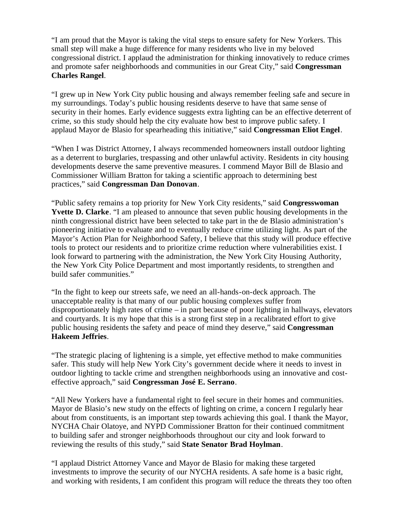"I am proud that the Mayor is taking the vital steps to ensure safety for New Yorkers. This small step will make a huge difference for many residents who live in my beloved congressional district. I applaud the administration for thinking innovatively to reduce crimes and promote safer neighborhoods and communities in our Great City," said **Congressman Charles Rangel**.

"I grew up in New York City public housing and always remember feeling safe and secure in my surroundings. Today's public housing residents deserve to have that same sense of security in their homes. Early evidence suggests extra lighting can be an effective deterrent of crime, so this study should help the city evaluate how best to improve public safety. I applaud Mayor de Blasio for spearheading this initiative," said **Congressman Eliot Engel**.

"When I was District Attorney, I always recommended homeowners install outdoor lighting as a deterrent to burglaries, trespassing and other unlawful activity. Residents in city housing developments deserve the same preventive measures. I commend Mayor Bill de Blasio and Commissioner William Bratton for taking a scientific approach to determining best practices," said **Congressman Dan Donovan**.

"Public safety remains a top priority for New York City residents," said **Congresswoman Yvette D. Clarke**. "I am pleased to announce that seven public housing developments in the ninth congressional district have been selected to take part in the de Blasio administration's pioneering initiative to evaluate and to eventually reduce crime utilizing light. As part of the Mayor's Action Plan for Neighborhood Safety, I believe that this study will produce effective tools to protect our residents and to prioritize crime reduction where vulnerabilities exist. I look forward to partnering with the administration, the New York City Housing Authority, the New York City Police Department and most importantly residents, to strengthen and build safer communities."

"In the fight to keep our streets safe, we need an all-hands-on-deck approach. The unacceptable reality is that many of our public housing complexes suffer from disproportionately high rates of crime – in part because of poor lighting in hallways, elevators and courtyards. It is my hope that this is a strong first step in a recalibrated effort to give public housing residents the safety and peace of mind they deserve," said **Congressman Hakeem Jeffries**.

"The strategic placing of lightening is a simple, yet effective method to make communities safer. This study will help New York City's government decide where it needs to invest in outdoor lighting to tackle crime and strengthen neighborhoods using an innovative and costeffective approach," said **Congressman José E. Serrano**.

"All New Yorkers have a fundamental right to feel secure in their homes and communities. Mayor de Blasio's new study on the effects of lighting on crime, a concern I regularly hear about from constituents, is an important step towards achieving this goal. I thank the Mayor, NYCHA Chair Olatoye, and NYPD Commissioner Bratton for their continued commitment to building safer and stronger neighborhoods throughout our city and look forward to reviewing the results of this study," said **State Senator Brad Hoylman**.

"I applaud District Attorney Vance and Mayor de Blasio for making these targeted investments to improve the security of our NYCHA residents. A safe home is a basic right, and working with residents, I am confident this program will reduce the threats they too often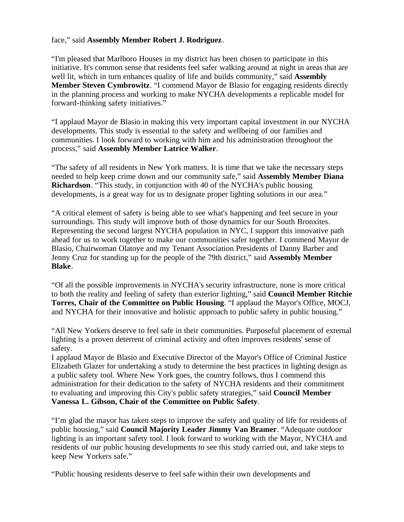#### face," said **Assembly Member Robert J. Rodriguez**.

"I'm pleased that Marlboro Houses in my district has been chosen to participate in this initiative. It's common sense that residents feel safer walking around at night in areas that are well lit, which in turn enhances quality of life and builds community," said **Assembly Member Steven Cymbrowitz**. "I commend Mayor de Blasio for engaging residents directly in the planning process and working to make NYCHA developments a replicable model for forward-thinking safety initiatives."

"I applaud Mayor de Blasio in making this very important capital investment in our NYCHA developments. This study is essential to the safety and wellbeing of our families and communities. I look forward to working with him and his administration throughout the process," said **Assembly Member Latrice Walker**.

"The safety of all residents in New York matters. It is time that we take the necessary steps needed to help keep crime down and our community safe," said **Assembly Member Diana Richardson**. "This study, in conjunction with 40 of the NYCHA's public housing developments, is a great way for us to designate proper lighting solutions in our area."

"A critical element of safety is being able to see what's happening and feel secure in your surroundings. This study will improve both of those dynamics for our South Bronxites. Representing the second largest NYCHA population in NYC, I support this innovative path ahead for us to work together to make our communities safer together. I commend Mayor de Blasio, Chairwoman Olatoye and my Tenant Association Presidents of Danny Barber and Jenny Cruz for standing up for the people of the 79th district," said **Assembly Member Blake**.

"Of all the possible improvements in NYCHA's security infrastructure, none is more critical to both the reality and feeling of safety than exterior lighting," said **Council Member Ritchie Torres, Chair of the Committee on Public Housing**. "I applaud the Mayor's Office, MOCJ, and NYCHA for their innovative and holistic approach to public safety in public housing."

"All New Yorkers deserve to feel safe in their communities. Purposeful placement of external lighting is a proven deterrent of criminal activity and often improves residents' sense of safety.

I applaud Mayor de Blasio and Executive Director of the Mayor's Office of Criminal Justice Elizabeth Glazer for undertaking a study to determine the best practices in lighting design as a public safety tool. Where New York goes, the country follows, thus I commend this administration for their dedication to the safety of NYCHA residents and their commitment to evaluating and improving this City's public safety strategies," said **Council Member Vanessa L. Gibson, Chair of the Committee on Public Safety**.

"I'm glad the mayor has taken steps to improve the safety and quality of life for residents of public housing," said **Council Majority Leader Jimmy Van Bramer**. "Adequate outdoor lighting is an important safety tool. I look forward to working with the Mayor, NYCHA and residents of our public housing developments to see this study carried out, and take steps to keep New Yorkers safe."

"Public housing residents deserve to feel safe within their own developments and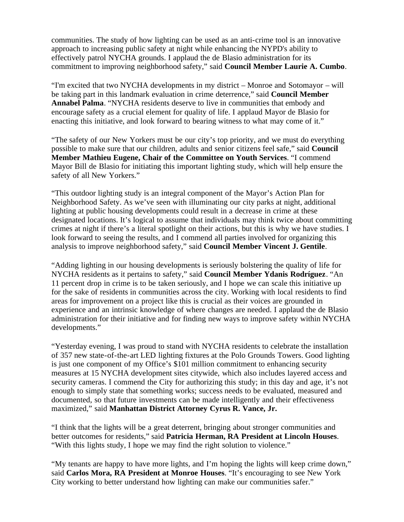communities. The study of how lighting can be used as an anti-crime tool is an innovative approach to increasing public safety at night while enhancing the NYPD's ability to effectively patrol NYCHA grounds. I applaud the de Blasio administration for its commitment to improving neighborhood safety," said **Council Member Laurie A. Cumbo**.

"I'm excited that two NYCHA developments in my district – Monroe and Sotomayor – will be taking part in this landmark evaluation in crime deterrence," said **Council Member Annabel Palma**. "NYCHA residents deserve to live in communities that embody and encourage safety as a crucial element for quality of life. I applaud Mayor de Blasio for enacting this initiative, and look forward to bearing witness to what may come of it."

"The safety of our New Yorkers must be our city's top priority, and we must do everything possible to make sure that our children, adults and senior citizens feel safe," said **Council Member Mathieu Eugene, Chair of the Committee on Youth Services**. "I commend Mayor Bill de Blasio for initiating this important lighting study, which will help ensure the safety of all New Yorkers."

"This outdoor lighting study is an integral component of the Mayor's Action Plan for Neighborhood Safety. As we've seen with illuminating our city parks at night, additional lighting at public housing developments could result in a decrease in crime at these designated locations. It's logical to assume that individuals may think twice about committing crimes at night if there's a literal spotlight on their actions, but this is why we have studies. I look forward to seeing the results, and I commend all parties involved for organizing this analysis to improve neighborhood safety," said **Council Member Vincent J. Gentile**.

"Adding lighting in our housing developments is seriously bolstering the quality of life for NYCHA residents as it pertains to safety," said **Council Member Ydanis Rodríguez**. "An 11 percent drop in crime is to be taken seriously, and I hope we can scale this initiative up for the sake of residents in communities across the city. Working with local residents to find areas for improvement on a project like this is crucial as their voices are grounded in experience and an intrinsic knowledge of where changes are needed. I applaud the de Blasio administration for their initiative and for finding new ways to improve safety within NYCHA developments."

"Yesterday evening, I was proud to stand with NYCHA residents to celebrate the installation of 357 new state-of-the-art LED lighting fixtures at the Polo Grounds Towers. Good lighting is just one component of my Office's \$101 million commitment to enhancing security measures at 15 NYCHA development sites citywide, which also includes layered access and security cameras. I commend the City for authorizing this study; in this day and age, it's not enough to simply state that something works; success needs to be evaluated, measured and documented, so that future investments can be made intelligently and their effectiveness maximized," said **Manhattan District Attorney Cyrus R. Vance, Jr.**

"I think that the lights will be a great deterrent, bringing about stronger communities and better outcomes for residents," said **Patricia Herman, RA President at Lincoln Houses**. "With this lights study, I hope we may find the right solution to violence."

"My tenants are happy to have more lights, and I'm hoping the lights will keep crime down," said **Carlos Mora, RA President at Monroe Houses**. "It's encouraging to see New York City working to better understand how lighting can make our communities safer."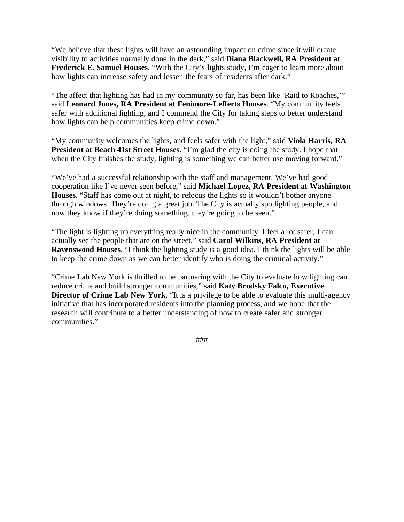"We believe that these lights will have an astounding impact on crime since it will create visibility to activities normally done in the dark," said **Diana Blackwell, RA President at Frederick E. Samuel Houses**. "With the City's lights study, I'm eager to learn more about how lights can increase safety and lessen the fears of residents after dark."

"The affect that lighting has had in my community so far, has been like 'Raid to Roaches,'" said **Leonard Jones, RA President at Fenimore-Lefferts Houses**. "My community feels safer with additional lighting, and I commend the City for taking steps to better understand how lights can help communities keep crime down."

"My community welcomes the lights, and feels safer with the light," said **Viola Harris, RA President at Beach 41st Street Houses**. "I'm glad the city is doing the study. I hope that when the City finishes the study, lighting is something we can better use moving forward."

"We've had a successful relationship with the staff and management. We've had good cooperation like I've never seen before," said **Michael Lopez, RA President at Washington Houses**. "Staff has come out at night, to refocus the lights so it wouldn't bother anyone through windows. They're doing a great job. The City is actually spotlighting people, and now they know if they're doing something, they're going to be seen."

"The light is lighting up everything really nice in the community. I feel a lot safer, I can actually see the people that are on the street," said **Carol Wilkins, RA President at Ravenswood Houses**. "I think the lighting study is a good idea. I think the lights will be able to keep the crime down as we can better identify who is doing the criminal activity."

"Crime Lab New York is thrilled to be partnering with the City to evaluate how lighting can reduce crime and build stronger communities," said **Katy Brodsky Falco, Executive Director of Crime Lab New York.** "It is a privilege to be able to evaluate this multi-agency initiative that has incorporated residents into the planning process, and we hope that the research will contribute to a better understanding of how to create safer and stronger communities."

###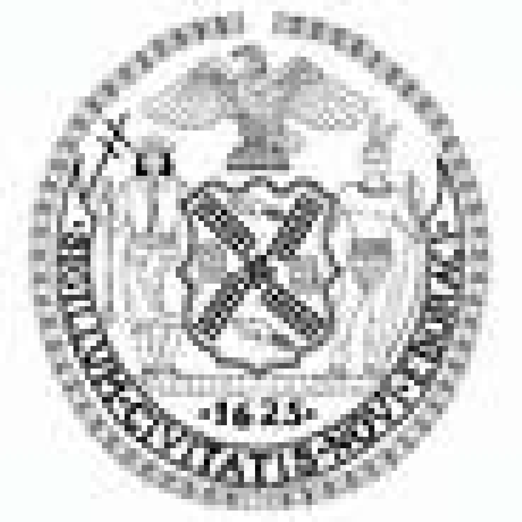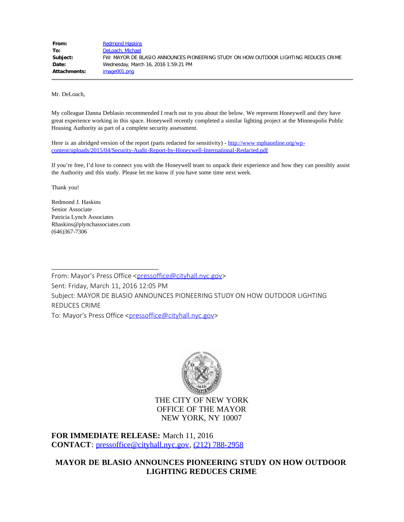Mr. DeLoach,

My colleague Danna Deblasio recommended I reach out to you about the below. We represent Honeywell and they have great experience working in this space. Honeywell recently completed a similar lighting project at the Minneapolis Public Housing Authority as part of a complete security assessment.

Here is an abridged version of the report (parts redacted for sensitivity) - http://www.mphaonline.org/wpcontent/uploads/2015/04/Security-Audit-Report-by-Honeywell-International-Redacted.pdf

If you're free, I'd love to connect you with the Honeywell team to unpack their experience and how they can possibly assist the Authority and this study. Please let me know if you have some time next week.

Thank you!

Redmond J. Haskins Senior Associate Patricia Lynch Associates Rhaskins@plynchassociates.com (646)367-7306

\_\_\_\_\_\_\_\_\_\_\_\_\_\_\_\_\_\_\_\_\_\_\_\_\_\_\_\_\_

From: Mayor's Press Office <pressoffice@cityhall.nyc.gov> Sent: Friday, March 11, 2016 12:05 PM Subject: MAYOR DE BLASIO ANNOUNCES PIONEERING STUDY ON HOW OUTDOOR LIGHTING REDUCES CRIME To: Mayor's Press Office <pressoffice@cityhall.nyc.gov>



THE CITY OF NEW YORK OFFICE OF THE MAYOR NEW YORK, NY 10007

**FOR IMMEDIATE RELEASE:** March 11, 2016 **CONTACT**: pressoffice@cityhall.nyc.gov, (212) 788-2958

**MAYOR DE BLASIO ANNOUNCES PIONEERING STUDY ON HOW OUTDOOR LIGHTING REDUCES CRIME**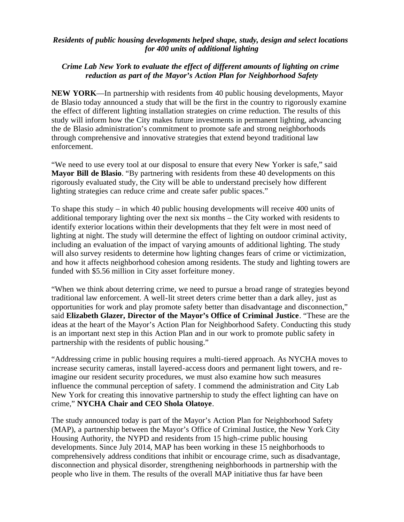### *Residents of public housing developments helped shape, study, design and select locations for 400 units of additional lighting*

### *Crime Lab New York to evaluate the effect of different amounts of lighting on crime reduction as part of the Mayor's Action Plan for Neighborhood Safety*

**NEW YORK**––In partnership with residents from 40 public housing developments, Mayor de Blasio today announced a study that will be the first in the country to rigorously examine the effect of different lighting installation strategies on crime reduction. The results of this study will inform how the City makes future investments in permanent lighting, advancing the de Blasio administration's commitment to promote safe and strong neighborhoods through comprehensive and innovative strategies that extend beyond traditional law enforcement.

"We need to use every tool at our disposal to ensure that every New Yorker is safe," said **Mayor Bill de Blasio**. "By partnering with residents from these 40 developments on this rigorously evaluated study, the City will be able to understand precisely how different lighting strategies can reduce crime and create safer public spaces."

To shape this study – in which 40 public housing developments will receive 400 units of additional temporary lighting over the next six months – the City worked with residents to identify exterior locations within their developments that they felt were in most need of lighting at night. The study will determine the effect of lighting on outdoor criminal activity, including an evaluation of the impact of varying amounts of additional lighting. The study will also survey residents to determine how lighting changes fears of crime or victimization, and how it affects neighborhood cohesion among residents. The study and lighting towers are funded with \$5.56 million in City asset forfeiture money.

"When we think about deterring crime, we need to pursue a broad range of strategies beyond traditional law enforcement. A well-lit street deters crime better than a dark alley, just as opportunities for work and play promote safety better than disadvantage and disconnection," said **Elizabeth Glazer, Director of the Mayor's Office of Criminal Justice**. "These are the ideas at the heart of the Mayor's Action Plan for Neighborhood Safety. Conducting this study is an important next step in this Action Plan and in our work to promote public safety in partnership with the residents of public housing."

"Addressing crime in public housing requires a multi-tiered approach. As NYCHA moves to increase security cameras, install layered-access doors and permanent light towers, and reimagine our resident security procedures, we must also examine how such measures influence the communal perception of safety. I commend the administration and City Lab New York for creating this innovative partnership to study the effect lighting can have on crime," **NYCHA Chair and CEO Shola Olatoye**.

The study announced today is part of the Mayor's Action Plan for Neighborhood Safety (MAP), a partnership between the Mayor's Office of Criminal Justice, the New York City Housing Authority, the NYPD and residents from 15 high-crime public housing developments. Since July 2014, MAP has been working in these 15 neighborhoods to comprehensively address conditions that inhibit or encourage crime, such as disadvantage, disconnection and physical disorder, strengthening neighborhoods in partnership with the people who live in them. The results of the overall MAP initiative thus far have been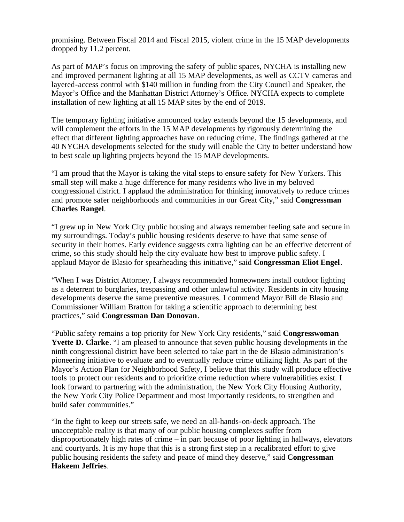promising. Between Fiscal 2014 and Fiscal 2015, violent crime in the 15 MAP developments dropped by 11.2 percent.

As part of MAP's focus on improving the safety of public spaces, NYCHA is installing new and improved permanent lighting at all 15 MAP developments, as well as CCTV cameras and layered-access control with \$140 million in funding from the City Council and Speaker, the Mayor's Office and the Manhattan District Attorney's Office. NYCHA expects to complete installation of new lighting at all 15 MAP sites by the end of 2019.

The temporary lighting initiative announced today extends beyond the 15 developments, and will complement the efforts in the 15 MAP developments by rigorously determining the effect that different lighting approaches have on reducing crime. The findings gathered at the 40 NYCHA developments selected for the study will enable the City to better understand how to best scale up lighting projects beyond the 15 MAP developments.

"I am proud that the Mayor is taking the vital steps to ensure safety for New Yorkers. This small step will make a huge difference for many residents who live in my beloved congressional district. I applaud the administration for thinking innovatively to reduce crimes and promote safer neighborhoods and communities in our Great City," said **Congressman Charles Rangel**.

"I grew up in New York City public housing and always remember feeling safe and secure in my surroundings. Today's public housing residents deserve to have that same sense of security in their homes. Early evidence suggests extra lighting can be an effective deterrent of crime, so this study should help the city evaluate how best to improve public safety. I applaud Mayor de Blasio for spearheading this initiative," said **Congressman Eliot Engel**.

"When I was District Attorney, I always recommended homeowners install outdoor lighting as a deterrent to burglaries, trespassing and other unlawful activity. Residents in city housing developments deserve the same preventive measures. I commend Mayor Bill de Blasio and Commissioner William Bratton for taking a scientific approach to determining best practices," said **Congressman Dan Donovan**.

"Public safety remains a top priority for New York City residents," said **Congresswoman Yvette D. Clarke**. "I am pleased to announce that seven public housing developments in the ninth congressional district have been selected to take part in the de Blasio administration's pioneering initiative to evaluate and to eventually reduce crime utilizing light. As part of the Mayor's Action Plan for Neighborhood Safety, I believe that this study will produce effective tools to protect our residents and to prioritize crime reduction where vulnerabilities exist. I look forward to partnering with the administration, the New York City Housing Authority, the New York City Police Department and most importantly residents, to strengthen and build safer communities."

"In the fight to keep our streets safe, we need an all-hands-on-deck approach. The unacceptable reality is that many of our public housing complexes suffer from disproportionately high rates of crime – in part because of poor lighting in hallways, elevators and courtyards. It is my hope that this is a strong first step in a recalibrated effort to give public housing residents the safety and peace of mind they deserve," said **Congressman Hakeem Jeffries**.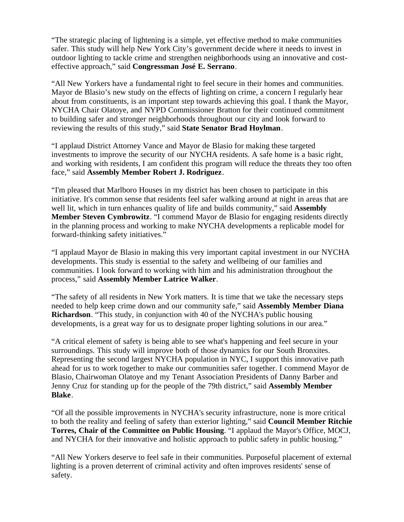"The strategic placing of lightening is a simple, yet effective method to make communities safer. This study will help New York City's government decide where it needs to invest in outdoor lighting to tackle crime and strengthen neighborhoods using an innovative and costeffective approach," said **Congressman José E. Serrano**.

"All New Yorkers have a fundamental right to feel secure in their homes and communities. Mayor de Blasio's new study on the effects of lighting on crime, a concern I regularly hear about from constituents, is an important step towards achieving this goal. I thank the Mayor, NYCHA Chair Olatoye, and NYPD Commissioner Bratton for their continued commitment to building safer and stronger neighborhoods throughout our city and look forward to reviewing the results of this study," said **State Senator Brad Hoylman**.

"I applaud District Attorney Vance and Mayor de Blasio for making these targeted investments to improve the security of our NYCHA residents. A safe home is a basic right, and working with residents, I am confident this program will reduce the threats they too often face," said **Assembly Member Robert J. Rodriguez**.

"I'm pleased that Marlboro Houses in my district has been chosen to participate in this initiative. It's common sense that residents feel safer walking around at night in areas that are well lit, which in turn enhances quality of life and builds community," said **Assembly Member Steven Cymbrowitz**. "I commend Mayor de Blasio for engaging residents directly in the planning process and working to make NYCHA developments a replicable model for forward-thinking safety initiatives."

"I applaud Mayor de Blasio in making this very important capital investment in our NYCHA developments. This study is essential to the safety and wellbeing of our families and communities. I look forward to working with him and his administration throughout the process," said **Assembly Member Latrice Walker**.

"The safety of all residents in New York matters. It is time that we take the necessary steps needed to help keep crime down and our community safe," said **Assembly Member Diana Richardson**. "This study, in conjunction with 40 of the NYCHA's public housing developments, is a great way for us to designate proper lighting solutions in our area."

"A critical element of safety is being able to see what's happening and feel secure in your surroundings. This study will improve both of those dynamics for our South Bronxites. Representing the second largest NYCHA population in NYC, I support this innovative path ahead for us to work together to make our communities safer together. I commend Mayor de Blasio, Chairwoman Olatoye and my Tenant Association Presidents of Danny Barber and Jenny Cruz for standing up for the people of the 79th district," said **Assembly Member Blake**.

"Of all the possible improvements in NYCHA's security infrastructure, none is more critical to both the reality and feeling of safety than exterior lighting," said **Council Member Ritchie Torres, Chair of the Committee on Public Housing**. "I applaud the Mayor's Office, MOCJ, and NYCHA for their innovative and holistic approach to public safety in public housing."

"All New Yorkers deserve to feel safe in their communities. Purposeful placement of external lighting is a proven deterrent of criminal activity and often improves residents' sense of safety.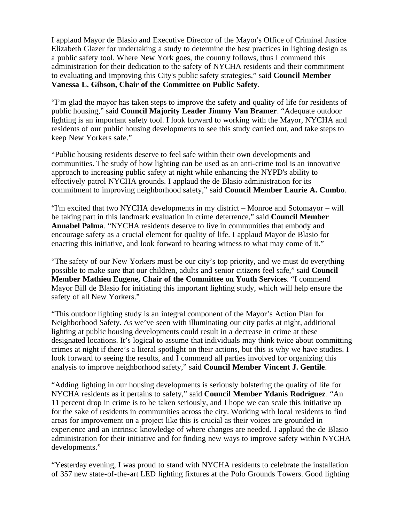I applaud Mayor de Blasio and Executive Director of the Mayor's Office of Criminal Justice Elizabeth Glazer for undertaking a study to determine the best practices in lighting design as a public safety tool. Where New York goes, the country follows, thus I commend this administration for their dedication to the safety of NYCHA residents and their commitment to evaluating and improving this City's public safety strategies," said **Council Member Vanessa L. Gibson, Chair of the Committee on Public Safety**.

"I'm glad the mayor has taken steps to improve the safety and quality of life for residents of public housing," said **Council Majority Leader Jimmy Van Bramer**. "Adequate outdoor lighting is an important safety tool. I look forward to working with the Mayor, NYCHA and residents of our public housing developments to see this study carried out, and take steps to keep New Yorkers safe."

"Public housing residents deserve to feel safe within their own developments and communities. The study of how lighting can be used as an anti-crime tool is an innovative approach to increasing public safety at night while enhancing the NYPD's ability to effectively patrol NYCHA grounds. I applaud the de Blasio administration for its commitment to improving neighborhood safety," said **Council Member Laurie A. Cumbo**.

"I'm excited that two NYCHA developments in my district – Monroe and Sotomayor – will be taking part in this landmark evaluation in crime deterrence," said **Council Member Annabel Palma**. "NYCHA residents deserve to live in communities that embody and encourage safety as a crucial element for quality of life. I applaud Mayor de Blasio for enacting this initiative, and look forward to bearing witness to what may come of it."

"The safety of our New Yorkers must be our city's top priority, and we must do everything possible to make sure that our children, adults and senior citizens feel safe," said **Council Member Mathieu Eugene, Chair of the Committee on Youth Services**. "I commend Mayor Bill de Blasio for initiating this important lighting study, which will help ensure the safety of all New Yorkers."

"This outdoor lighting study is an integral component of the Mayor's Action Plan for Neighborhood Safety. As we've seen with illuminating our city parks at night, additional lighting at public housing developments could result in a decrease in crime at these designated locations. It's logical to assume that individuals may think twice about committing crimes at night if there's a literal spotlight on their actions, but this is why we have studies. I look forward to seeing the results, and I commend all parties involved for organizing this analysis to improve neighborhood safety," said **Council Member Vincent J. Gentile**.

"Adding lighting in our housing developments is seriously bolstering the quality of life for NYCHA residents as it pertains to safety," said **Council Member Ydanis Rodríguez**. "An 11 percent drop in crime is to be taken seriously, and I hope we can scale this initiative up for the sake of residents in communities across the city. Working with local residents to find areas for improvement on a project like this is crucial as their voices are grounded in experience and an intrinsic knowledge of where changes are needed. I applaud the de Blasio administration for their initiative and for finding new ways to improve safety within NYCHA developments."

"Yesterday evening, I was proud to stand with NYCHA residents to celebrate the installation of 357 new state-of-the-art LED lighting fixtures at the Polo Grounds Towers. Good lighting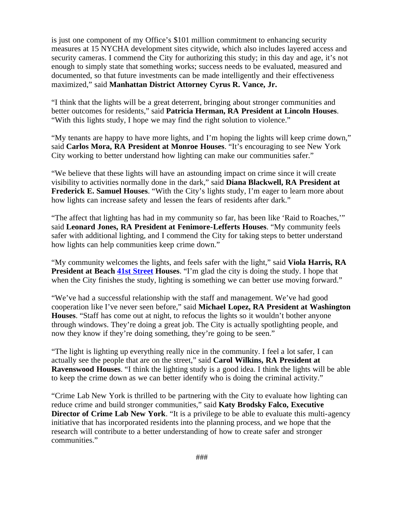is just one component of my Office's \$101 million commitment to enhancing security measures at 15 NYCHA development sites citywide, which also includes layered access and security cameras. I commend the City for authorizing this study; in this day and age, it's not enough to simply state that something works; success needs to be evaluated, measured and documented, so that future investments can be made intelligently and their effectiveness maximized," said **Manhattan District Attorney Cyrus R. Vance, Jr.**

"I think that the lights will be a great deterrent, bringing about stronger communities and better outcomes for residents," said **Patricia Herman, RA President at Lincoln Houses**. "With this lights study, I hope we may find the right solution to violence."

"My tenants are happy to have more lights, and I'm hoping the lights will keep crime down," said **Carlos Mora, RA President at Monroe Houses**. "It's encouraging to see New York City working to better understand how lighting can make our communities safer."

"We believe that these lights will have an astounding impact on crime since it will create visibility to activities normally done in the dark," said **Diana Blackwell, RA President at Frederick E. Samuel Houses**. "With the City's lights study, I'm eager to learn more about how lights can increase safety and lessen the fears of residents after dark."

"The affect that lighting has had in my community so far, has been like 'Raid to Roaches,'" said **Leonard Jones, RA President at Fenimore-Lefferts Houses**. "My community feels safer with additional lighting, and I commend the City for taking steps to better understand how lights can help communities keep crime down."

"My community welcomes the lights, and feels safer with the light," said **Viola Harris, RA President at Beach <b>41st Street Houses**. "I'm glad the city is doing the study. I hope that when the City finishes the study, lighting is something we can better use moving forward."

"We've had a successful relationship with the staff and management. We've had good cooperation like I've never seen before," said **Michael Lopez, RA President at Washington Houses**. "Staff has come out at night, to refocus the lights so it wouldn't bother anyone through windows. They're doing a great job. The City is actually spotlighting people, and now they know if they're doing something, they're going to be seen."

"The light is lighting up everything really nice in the community. I feel a lot safer, I can actually see the people that are on the street," said **Carol Wilkins, RA President at Ravenswood Houses**. "I think the lighting study is a good idea. I think the lights will be able to keep the crime down as we can better identify who is doing the criminal activity."

"Crime Lab New York is thrilled to be partnering with the City to evaluate how lighting can reduce crime and build stronger communities," said **Katy Brodsky Falco, Executive Director of Crime Lab New York**. "It is a privilege to be able to evaluate this multi-agency initiative that has incorporated residents into the planning process, and we hope that the research will contribute to a better understanding of how to create safer and stronger communities."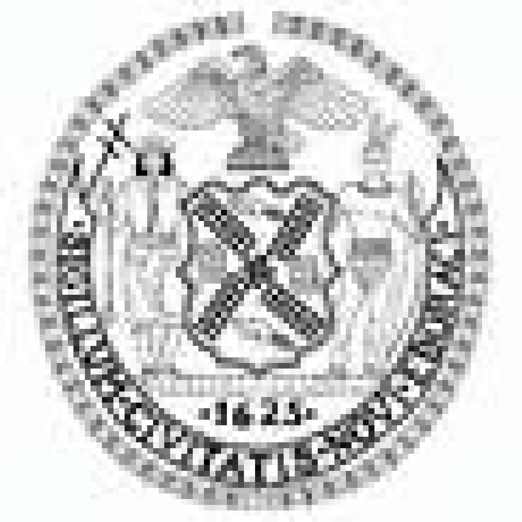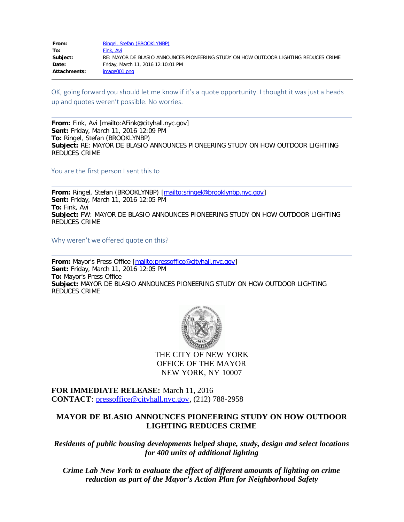| From:               | Ringel, Stefan (BROOKLYNBP)                                                          |
|---------------------|--------------------------------------------------------------------------------------|
| To:                 | Fink, Avi                                                                            |
| Subject:            | RE: MAYOR DE BLASIO ANNOUNCES PIONEERING STUDY ON HOW OUTDOOR LIGHTING REDUCES CRIME |
| Date:               | Friday, March 11, 2016 12:10:01 PM                                                   |
| <b>Attachments:</b> | image001.png                                                                         |

OK, going forward you should let me know if it's a quote opportunity. I thought it was just a heads up and quotes weren't possible. No worries.

**From:** Fink, Avi [mailto:AFink@cityhall.nyc.gov] **Sent:** Friday, March 11, 2016 12:09 PM **To:** Ringel, Stefan (BROOKLYNBP) **Subject:** RE: MAYOR DE BLASIO ANNOUNCES PIONEERING STUDY ON HOW OUTDOOR LIGHTING REDUCES CRIME

You are the first person I sent this to

From: Ringel, Stefan (BROOKLYNBP) [mailto:sringel@brooklynbp.nyc.gov] **Sent:** Friday, March 11, 2016 12:05 PM **To:** Fink, Avi **Subject:** FW: MAYOR DE BLASIO ANNOUNCES PIONEERING STUDY ON HOW OUTDOOR LIGHTING REDUCES CRIME

Why weren't we offered quote on this?

**From:** Mayor's Press Office [mailto:pressoffice@cityhall.nyc.gov] **Sent:** Friday, March 11, 2016 12:05 PM **To:** Mayor's Press Office **Subject:** MAYOR DE BLASIO ANNOUNCES PIONEERING STUDY ON HOW OUTDOOR LIGHTING REDUCES CRIME



THE CITY OF NEW YORK OFFICE OF THE MAYOR NEW YORK, NY 10007

**FOR IMMEDIATE RELEASE:** March 11, 2016 **CONTACT**: pressoffice@cityhall.nyc.gov, (212) 788-2958

#### **MAYOR DE BLASIO ANNOUNCES PIONEERING STUDY ON HOW OUTDOOR LIGHTING REDUCES CRIME**

*Residents of public housing developments helped shape, study, design and select locations for 400 units of additional lighting*

*Crime Lab New York to evaluate the effect of different amounts of lighting on crime reduction as part of the Mayor's Action Plan for Neighborhood Safety*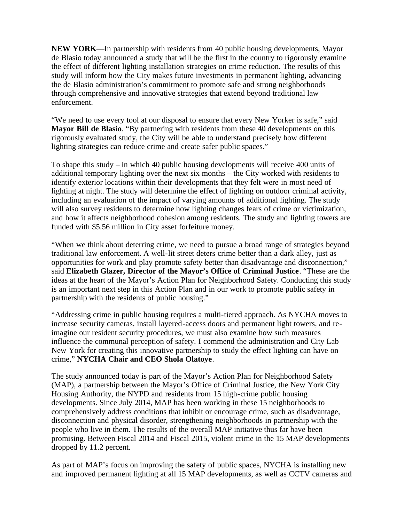**NEW YORK**––In partnership with residents from 40 public housing developments, Mayor de Blasio today announced a study that will be the first in the country to rigorously examine the effect of different lighting installation strategies on crime reduction. The results of this study will inform how the City makes future investments in permanent lighting, advancing the de Blasio administration's commitment to promote safe and strong neighborhoods through comprehensive and innovative strategies that extend beyond traditional law enforcement.

"We need to use every tool at our disposal to ensure that every New Yorker is safe," said **Mayor Bill de Blasio**. "By partnering with residents from these 40 developments on this rigorously evaluated study, the City will be able to understand precisely how different lighting strategies can reduce crime and create safer public spaces."

To shape this study – in which 40 public housing developments will receive 400 units of additional temporary lighting over the next six months – the City worked with residents to identify exterior locations within their developments that they felt were in most need of lighting at night. The study will determine the effect of lighting on outdoor criminal activity, including an evaluation of the impact of varying amounts of additional lighting. The study will also survey residents to determine how lighting changes fears of crime or victimization, and how it affects neighborhood cohesion among residents. The study and lighting towers are funded with \$5.56 million in City asset forfeiture money.

"When we think about deterring crime, we need to pursue a broad range of strategies beyond traditional law enforcement. A well-lit street deters crime better than a dark alley, just as opportunities for work and play promote safety better than disadvantage and disconnection," said **Elizabeth Glazer, Director of the Mayor's Office of Criminal Justice**. "These are the ideas at the heart of the Mayor's Action Plan for Neighborhood Safety. Conducting this study is an important next step in this Action Plan and in our work to promote public safety in partnership with the residents of public housing."

"Addressing crime in public housing requires a multi-tiered approach. As NYCHA moves to increase security cameras, install layered-access doors and permanent light towers, and reimagine our resident security procedures, we must also examine how such measures influence the communal perception of safety. I commend the administration and City Lab New York for creating this innovative partnership to study the effect lighting can have on crime," **NYCHA Chair and CEO Shola Olatoye**.

The study announced today is part of the Mayor's Action Plan for Neighborhood Safety (MAP), a partnership between the Mayor's Office of Criminal Justice, the New York City Housing Authority, the NYPD and residents from 15 high-crime public housing developments. Since July 2014, MAP has been working in these 15 neighborhoods to comprehensively address conditions that inhibit or encourage crime, such as disadvantage, disconnection and physical disorder, strengthening neighborhoods in partnership with the people who live in them. The results of the overall MAP initiative thus far have been promising. Between Fiscal 2014 and Fiscal 2015, violent crime in the 15 MAP developments dropped by 11.2 percent.

As part of MAP's focus on improving the safety of public spaces, NYCHA is installing new and improved permanent lighting at all 15 MAP developments, as well as CCTV cameras and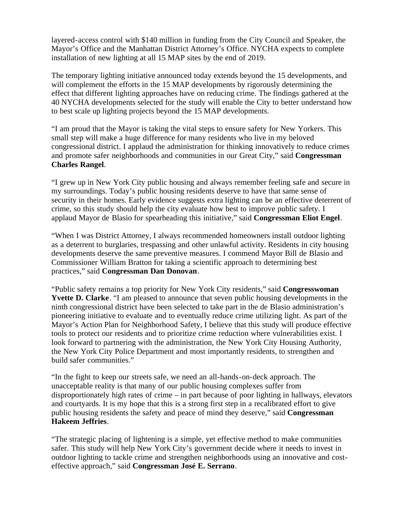layered-access control with \$140 million in funding from the City Council and Speaker, the Mayor's Office and the Manhattan District Attorney's Office. NYCHA expects to complete installation of new lighting at all 15 MAP sites by the end of 2019.

The temporary lighting initiative announced today extends beyond the 15 developments, and will complement the efforts in the 15 MAP developments by rigorously determining the effect that different lighting approaches have on reducing crime. The findings gathered at the 40 NYCHA developments selected for the study will enable the City to better understand how to best scale up lighting projects beyond the 15 MAP developments.

"I am proud that the Mayor is taking the vital steps to ensure safety for New Yorkers. This small step will make a huge difference for many residents who live in my beloved congressional district. I applaud the administration for thinking innovatively to reduce crimes and promote safer neighborhoods and communities in our Great City," said **Congressman Charles Rangel**.

"I grew up in New York City public housing and always remember feeling safe and secure in my surroundings. Today's public housing residents deserve to have that same sense of security in their homes. Early evidence suggests extra lighting can be an effective deterrent of crime, so this study should help the city evaluate how best to improve public safety. I applaud Mayor de Blasio for spearheading this initiative," said **Congressman Eliot Engel**.

"When I was District Attorney, I always recommended homeowners install outdoor lighting as a deterrent to burglaries, trespassing and other unlawful activity. Residents in city housing developments deserve the same preventive measures. I commend Mayor Bill de Blasio and Commissioner William Bratton for taking a scientific approach to determining best practices," said **Congressman Dan Donovan**.

"Public safety remains a top priority for New York City residents," said **Congresswoman Yvette D. Clarke**. "I am pleased to announce that seven public housing developments in the ninth congressional district have been selected to take part in the de Blasio administration's pioneering initiative to evaluate and to eventually reduce crime utilizing light. As part of the Mayor's Action Plan for Neighborhood Safety, I believe that this study will produce effective tools to protect our residents and to prioritize crime reduction where vulnerabilities exist. I look forward to partnering with the administration, the New York City Housing Authority, the New York City Police Department and most importantly residents, to strengthen and build safer communities."

"In the fight to keep our streets safe, we need an all-hands-on-deck approach. The unacceptable reality is that many of our public housing complexes suffer from disproportionately high rates of crime – in part because of poor lighting in hallways, elevators and courtyards. It is my hope that this is a strong first step in a recalibrated effort to give public housing residents the safety and peace of mind they deserve," said **Congressman Hakeem Jeffries**.

"The strategic placing of lightening is a simple, yet effective method to make communities safer. This study will help New York City's government decide where it needs to invest in outdoor lighting to tackle crime and strengthen neighborhoods using an innovative and costeffective approach," said **Congressman José E. Serrano**.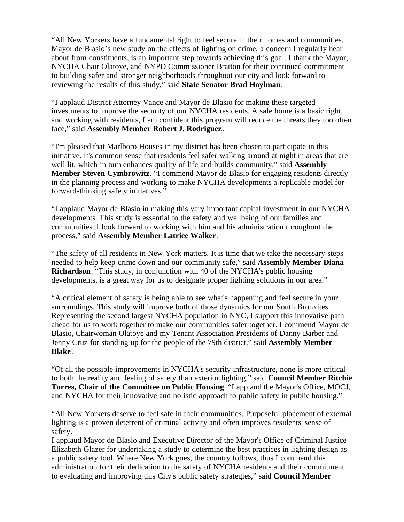"All New Yorkers have a fundamental right to feel secure in their homes and communities. Mayor de Blasio's new study on the effects of lighting on crime, a concern I regularly hear about from constituents, is an important step towards achieving this goal. I thank the Mayor, NYCHA Chair Olatoye, and NYPD Commissioner Bratton for their continued commitment to building safer and stronger neighborhoods throughout our city and look forward to reviewing the results of this study," said **State Senator Brad Hoylman**.

"I applaud District Attorney Vance and Mayor de Blasio for making these targeted investments to improve the security of our NYCHA residents. A safe home is a basic right, and working with residents, I am confident this program will reduce the threats they too often face," said **Assembly Member Robert J. Rodriguez**.

"I'm pleased that Marlboro Houses in my district has been chosen to participate in this initiative. It's common sense that residents feel safer walking around at night in areas that are well lit, which in turn enhances quality of life and builds community," said **Assembly Member Steven Cymbrowitz**. "I commend Mayor de Blasio for engaging residents directly in the planning process and working to make NYCHA developments a replicable model for forward-thinking safety initiatives."

"I applaud Mayor de Blasio in making this very important capital investment in our NYCHA developments. This study is essential to the safety and wellbeing of our families and communities. I look forward to working with him and his administration throughout the process," said **Assembly Member Latrice Walker**.

"The safety of all residents in New York matters. It is time that we take the necessary steps needed to help keep crime down and our community safe," said **Assembly Member Diana Richardson**. "This study, in conjunction with 40 of the NYCHA's public housing developments, is a great way for us to designate proper lighting solutions in our area."

"A critical element of safety is being able to see what's happening and feel secure in your surroundings. This study will improve both of those dynamics for our South Bronxites. Representing the second largest NYCHA population in NYC, I support this innovative path ahead for us to work together to make our communities safer together. I commend Mayor de Blasio, Chairwoman Olatoye and my Tenant Association Presidents of Danny Barber and Jenny Cruz for standing up for the people of the 79th district," said **Assembly Member Blake**.

"Of all the possible improvements in NYCHA's security infrastructure, none is more critical to both the reality and feeling of safety than exterior lighting," said **Council Member Ritchie Torres, Chair of the Committee on Public Housing**. "I applaud the Mayor's Office, MOCJ, and NYCHA for their innovative and holistic approach to public safety in public housing."

"All New Yorkers deserve to feel safe in their communities. Purposeful placement of external lighting is a proven deterrent of criminal activity and often improves residents' sense of safety.

I applaud Mayor de Blasio and Executive Director of the Mayor's Office of Criminal Justice Elizabeth Glazer for undertaking a study to determine the best practices in lighting design as a public safety tool. Where New York goes, the country follows, thus I commend this administration for their dedication to the safety of NYCHA residents and their commitment to evaluating and improving this City's public safety strategies," said **Council Member**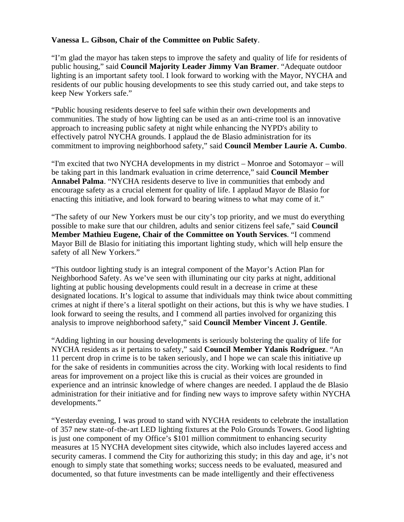#### **Vanessa L. Gibson, Chair of the Committee on Public Safety**.

"I'm glad the mayor has taken steps to improve the safety and quality of life for residents of public housing," said **Council Majority Leader Jimmy Van Bramer**. "Adequate outdoor lighting is an important safety tool. I look forward to working with the Mayor, NYCHA and residents of our public housing developments to see this study carried out, and take steps to keep New Yorkers safe."

"Public housing residents deserve to feel safe within their own developments and communities. The study of how lighting can be used as an anti-crime tool is an innovative approach to increasing public safety at night while enhancing the NYPD's ability to effectively patrol NYCHA grounds. I applaud the de Blasio administration for its commitment to improving neighborhood safety," said **Council Member Laurie A. Cumbo**.

"I'm excited that two NYCHA developments in my district – Monroe and Sotomayor – will be taking part in this landmark evaluation in crime deterrence," said **Council Member Annabel Palma**. "NYCHA residents deserve to live in communities that embody and encourage safety as a crucial element for quality of life. I applaud Mayor de Blasio for enacting this initiative, and look forward to bearing witness to what may come of it."

"The safety of our New Yorkers must be our city's top priority, and we must do everything possible to make sure that our children, adults and senior citizens feel safe," said **Council Member Mathieu Eugene, Chair of the Committee on Youth Services**. "I commend Mayor Bill de Blasio for initiating this important lighting study, which will help ensure the safety of all New Yorkers."

"This outdoor lighting study is an integral component of the Mayor's Action Plan for Neighborhood Safety. As we've seen with illuminating our city parks at night, additional lighting at public housing developments could result in a decrease in crime at these designated locations. It's logical to assume that individuals may think twice about committing crimes at night if there's a literal spotlight on their actions, but this is why we have studies. I look forward to seeing the results, and I commend all parties involved for organizing this analysis to improve neighborhood safety," said **Council Member Vincent J. Gentile**.

"Adding lighting in our housing developments is seriously bolstering the quality of life for NYCHA residents as it pertains to safety," said **Council Member Ydanis Rodríguez**. "An 11 percent drop in crime is to be taken seriously, and I hope we can scale this initiative up for the sake of residents in communities across the city. Working with local residents to find areas for improvement on a project like this is crucial as their voices are grounded in experience and an intrinsic knowledge of where changes are needed. I applaud the de Blasio administration for their initiative and for finding new ways to improve safety within NYCHA developments."

"Yesterday evening, I was proud to stand with NYCHA residents to celebrate the installation of 357 new state-of-the-art LED lighting fixtures at the Polo Grounds Towers. Good lighting is just one component of my Office's \$101 million commitment to enhancing security measures at 15 NYCHA development sites citywide, which also includes layered access and security cameras. I commend the City for authorizing this study; in this day and age, it's not enough to simply state that something works; success needs to be evaluated, measured and documented, so that future investments can be made intelligently and their effectiveness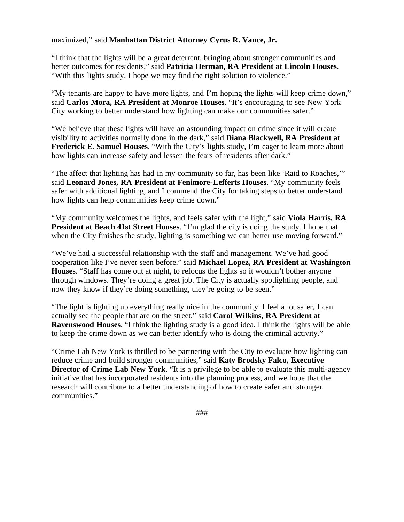maximized," said **Manhattan District Attorney Cyrus R. Vance, Jr.**

"I think that the lights will be a great deterrent, bringing about stronger communities and better outcomes for residents," said **Patricia Herman, RA President at Lincoln Houses**. "With this lights study, I hope we may find the right solution to violence."

"My tenants are happy to have more lights, and I'm hoping the lights will keep crime down," said **Carlos Mora, RA President at Monroe Houses**. "It's encouraging to see New York City working to better understand how lighting can make our communities safer."

"We believe that these lights will have an astounding impact on crime since it will create visibility to activities normally done in the dark," said **Diana Blackwell, RA President at Frederick E. Samuel Houses**. "With the City's lights study, I'm eager to learn more about how lights can increase safety and lessen the fears of residents after dark."

"The affect that lighting has had in my community so far, has been like 'Raid to Roaches,'" said **Leonard Jones, RA President at Fenimore-Lefferts Houses**. "My community feels safer with additional lighting, and I commend the City for taking steps to better understand how lights can help communities keep crime down."

"My community welcomes the lights, and feels safer with the light," said **Viola Harris, RA President at Beach 41st Street Houses**. "I'm glad the city is doing the study. I hope that when the City finishes the study, lighting is something we can better use moving forward."

"We've had a successful relationship with the staff and management. We've had good cooperation like I've never seen before," said **Michael Lopez, RA President at Washington Houses**. "Staff has come out at night, to refocus the lights so it wouldn't bother anyone through windows. They're doing a great job. The City is actually spotlighting people, and now they know if they're doing something, they're going to be seen."

"The light is lighting up everything really nice in the community. I feel a lot safer, I can actually see the people that are on the street," said **Carol Wilkins, RA President at Ravenswood Houses**. "I think the lighting study is a good idea. I think the lights will be able to keep the crime down as we can better identify who is doing the criminal activity."

"Crime Lab New York is thrilled to be partnering with the City to evaluate how lighting can reduce crime and build stronger communities," said **Katy Brodsky Falco, Executive Director of Crime Lab New York**. "It is a privilege to be able to evaluate this multi-agency initiative that has incorporated residents into the planning process, and we hope that the research will contribute to a better understanding of how to create safer and stronger communities."

###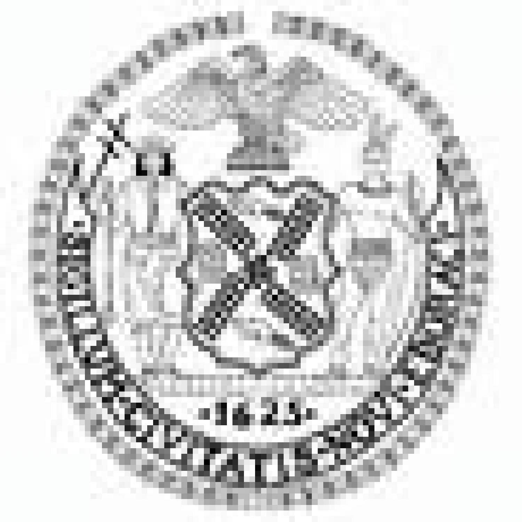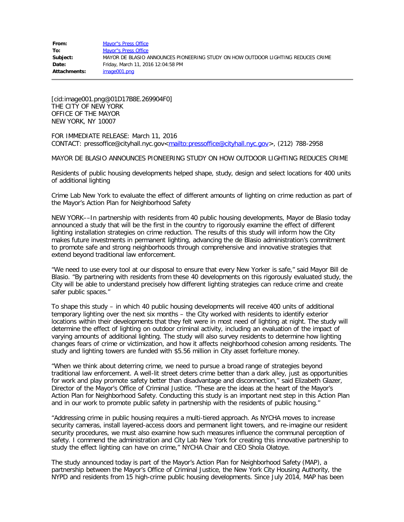[cid:image001.png@01D17B8E.269904F0] THE CITY OF NEW YORK OFFICE OF THE MAYOR NEW YORK, NY 10007

FOR IMMEDIATE RELEASE: March 11, 2016 CONTACT: pressoffice@cityhall.nyc.gov<mailto:pressoffice@cityhall.nyc.gov>, (212) 788-2958

MAYOR DE BLASIO ANNOUNCES PIONEERING STUDY ON HOW OUTDOOR LIGHTING REDUCES CRIME

Residents of public housing developments helped shape, study, design and select locations for 400 units of additional lighting

Crime Lab New York to evaluate the effect of different amounts of lighting on crime reduction as part of the Mayor's Action Plan for Neighborhood Safety

NEW YORK––In partnership with residents from 40 public housing developments, Mayor de Blasio today announced a study that will be the first in the country to rigorously examine the effect of different lighting installation strategies on crime reduction. The results of this study will inform how the City makes future investments in permanent lighting, advancing the de Blasio administration's commitment to promote safe and strong neighborhoods through comprehensive and innovative strategies that extend beyond traditional law enforcement.

"We need to use every tool at our disposal to ensure that every New Yorker is safe," said Mayor Bill de Blasio. "By partnering with residents from these 40 developments on this rigorously evaluated study, the City will be able to understand precisely how different lighting strategies can reduce crime and create safer public spaces."

To shape this study – in which 40 public housing developments will receive 400 units of additional temporary lighting over the next six months – the City worked with residents to identify exterior locations within their developments that they felt were in most need of lighting at night. The study will determine the effect of lighting on outdoor criminal activity, including an evaluation of the impact of varying amounts of additional lighting. The study will also survey residents to determine how lighting changes fears of crime or victimization, and how it affects neighborhood cohesion among residents. The study and lighting towers are funded with \$5.56 million in City asset forfeiture money.

"When we think about deterring crime, we need to pursue a broad range of strategies beyond traditional law enforcement. A well-lit street deters crime better than a dark alley, just as opportunities for work and play promote safety better than disadvantage and disconnection," said Elizabeth Glazer, Director of the Mayor's Office of Criminal Justice. "These are the ideas at the heart of the Mayor's Action Plan for Neighborhood Safety. Conducting this study is an important next step in this Action Plan and in our work to promote public safety in partnership with the residents of public housing."

"Addressing crime in public housing requires a multi-tiered approach. As NYCHA moves to increase security cameras, install layered-access doors and permanent light towers, and re-imagine our resident security procedures, we must also examine how such measures influence the communal perception of safety. I commend the administration and City Lab New York for creating this innovative partnership to study the effect lighting can have on crime," NYCHA Chair and CEO Shola Olatoye.

The study announced today is part of the Mayor's Action Plan for Neighborhood Safety (MAP), a partnership between the Mayor's Office of Criminal Justice, the New York City Housing Authority, the NYPD and residents from 15 high-crime public housing developments. Since July 2014, MAP has been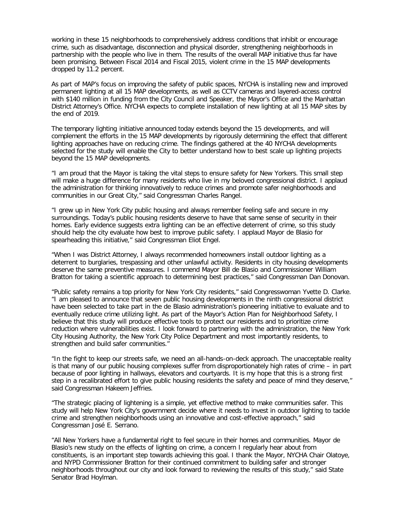working in these 15 neighborhoods to comprehensively address conditions that inhibit or encourage crime, such as disadvantage, disconnection and physical disorder, strengthening neighborhoods in partnership with the people who live in them. The results of the overall MAP initiative thus far have been promising. Between Fiscal 2014 and Fiscal 2015, violent crime in the 15 MAP developments dropped by 11.2 percent.

As part of MAP's focus on improving the safety of public spaces, NYCHA is installing new and improved permanent lighting at all 15 MAP developments, as well as CCTV cameras and layered-access control with \$140 million in funding from the City Council and Speaker, the Mayor's Office and the Manhattan District Attorney's Office. NYCHA expects to complete installation of new lighting at all 15 MAP sites by the end of 2019.

The temporary lighting initiative announced today extends beyond the 15 developments, and will complement the efforts in the 15 MAP developments by rigorously determining the effect that different lighting approaches have on reducing crime. The findings gathered at the 40 NYCHA developments selected for the study will enable the City to better understand how to best scale up lighting projects beyond the 15 MAP developments.

"I am proud that the Mayor is taking the vital steps to ensure safety for New Yorkers. This small step will make a huge difference for many residents who live in my beloved congressional district. I applaud the administration for thinking innovatively to reduce crimes and promote safer neighborhoods and communities in our Great City," said Congressman Charles Rangel.

"I grew up in New York City public housing and always remember feeling safe and secure in my surroundings. Today's public housing residents deserve to have that same sense of security in their homes. Early evidence suggests extra lighting can be an effective deterrent of crime, so this study should help the city evaluate how best to improve public safety. I applaud Mayor de Blasio for spearheading this initiative," said Congressman Eliot Engel.

"When I was District Attorney, I always recommended homeowners install outdoor lighting as a deterrent to burglaries, trespassing and other unlawful activity. Residents in city housing developments deserve the same preventive measures. I commend Mayor Bill de Blasio and Commissioner William Bratton for taking a scientific approach to determining best practices," said Congressman Dan Donovan.

"Public safety remains a top priority for New York City residents," said Congresswoman Yvette D. Clarke. "I am pleased to announce that seven public housing developments in the ninth congressional district have been selected to take part in the de Blasio administration's pioneering initiative to evaluate and to eventually reduce crime utilizing light. As part of the Mayor's Action Plan for Neighborhood Safety, I believe that this study will produce effective tools to protect our residents and to prioritize crime reduction where vulnerabilities exist. I look forward to partnering with the administration, the New York City Housing Authority, the New York City Police Department and most importantly residents, to strengthen and build safer communities."

"In the fight to keep our streets safe, we need an all-hands-on-deck approach. The unacceptable reality is that many of our public housing complexes suffer from disproportionately high rates of crime – in part because of poor lighting in hallways, elevators and courtyards. It is my hope that this is a strong first step in a recalibrated effort to give public housing residents the safety and peace of mind they deserve," said Congressman Hakeem Jeffries.

"The strategic placing of lightening is a simple, yet effective method to make communities safer. This study will help New York City's government decide where it needs to invest in outdoor lighting to tackle crime and strengthen neighborhoods using an innovative and cost-effective approach," said Congressman José E. Serrano.

"All New Yorkers have a fundamental right to feel secure in their homes and communities. Mayor de Blasio's new study on the effects of lighting on crime, a concern I regularly hear about from constituents, is an important step towards achieving this goal. I thank the Mayor, NYCHA Chair Olatoye, and NYPD Commissioner Bratton for their continued commitment to building safer and stronger neighborhoods throughout our city and look forward to reviewing the results of this study," said State Senator Brad Hoylman.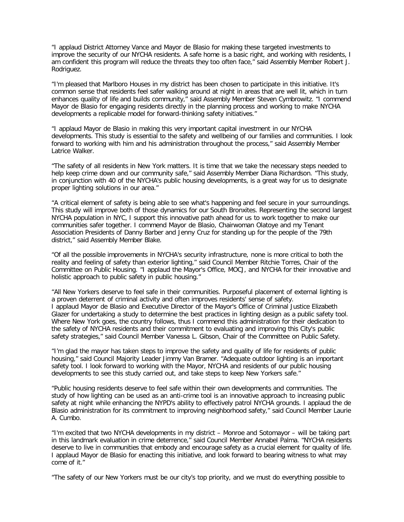"I applaud District Attorney Vance and Mayor de Blasio for making these targeted investments to improve the security of our NYCHA residents. A safe home is a basic right, and working with residents, I am confident this program will reduce the threats they too often face," said Assembly Member Robert J. Rodriguez.

"I'm pleased that Marlboro Houses in my district has been chosen to participate in this initiative. It's common sense that residents feel safer walking around at night in areas that are well lit, which in turn enhances quality of life and builds community," said Assembly Member Steven Cymbrowitz. "I commend Mayor de Blasio for engaging residents directly in the planning process and working to make NYCHA developments a replicable model for forward-thinking safety initiatives."

"I applaud Mayor de Blasio in making this very important capital investment in our NYCHA developments. This study is essential to the safety and wellbeing of our families and communities. I look forward to working with him and his administration throughout the process," said Assembly Member Latrice Walker.

"The safety of all residents in New York matters. It is time that we take the necessary steps needed to help keep crime down and our community safe," said Assembly Member Diana Richardson. "This study, in conjunction with 40 of the NYCHA's public housing developments, is a great way for us to designate proper lighting solutions in our area."

"A critical element of safety is being able to see what's happening and feel secure in your surroundings. This study will improve both of those dynamics for our South Bronxites. Representing the second largest NYCHA population in NYC, I support this innovative path ahead for us to work together to make our communities safer together. I commend Mayor de Blasio, Chairwoman Olatoye and my Tenant Association Presidents of Danny Barber and Jenny Cruz for standing up for the people of the 79th district," said Assembly Member Blake.

"Of all the possible improvements in NYCHA's security infrastructure, none is more critical to both the reality and feeling of safety than exterior lighting," said Council Member Ritchie Torres, Chair of the Committee on Public Housing. "I applaud the Mayor's Office, MOCJ, and NYCHA for their innovative and holistic approach to public safety in public housing."

"All New Yorkers deserve to feel safe in their communities. Purposeful placement of external lighting is a proven deterrent of criminal activity and often improves residents' sense of safety. I applaud Mayor de Blasio and Executive Director of the Mayor's Office of Criminal Justice Elizabeth Glazer for undertaking a study to determine the best practices in lighting design as a public safety tool. Where New York goes, the country follows, thus I commend this administration for their dedication to the safety of NYCHA residents and their commitment to evaluating and improving this City's public safety strategies," said Council Member Vanessa L. Gibson, Chair of the Committee on Public Safety.

"I'm glad the mayor has taken steps to improve the safety and quality of life for residents of public housing," said Council Majority Leader Jimmy Van Bramer. "Adequate outdoor lighting is an important safety tool. I look forward to working with the Mayor, NYCHA and residents of our public housing developments to see this study carried out, and take steps to keep New Yorkers safe."

"Public housing residents deserve to feel safe within their own developments and communities. The study of how lighting can be used as an anti-crime tool is an innovative approach to increasing public safety at night while enhancing the NYPD's ability to effectively patrol NYCHA grounds. I applaud the de Blasio administration for its commitment to improving neighborhood safety," said Council Member Laurie A. Cumbo.

"I'm excited that two NYCHA developments in my district – Monroe and Sotomayor – will be taking part in this landmark evaluation in crime deterrence," said Council Member Annabel Palma. "NYCHA residents deserve to live in communities that embody and encourage safety as a crucial element for quality of life. I applaud Mayor de Blasio for enacting this initiative, and look forward to bearing witness to what may come of it."

"The safety of our New Yorkers must be our city's top priority, and we must do everything possible to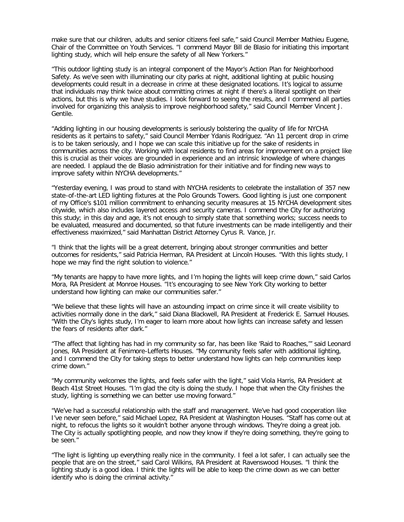make sure that our children, adults and senior citizens feel safe," said Council Member Mathieu Eugene, Chair of the Committee on Youth Services. "I commend Mayor Bill de Blasio for initiating this important lighting study, which will help ensure the safety of all New Yorkers."

"This outdoor lighting study is an integral component of the Mayor's Action Plan for Neighborhood Safety. As we've seen with illuminating our city parks at night, additional lighting at public housing developments could result in a decrease in crime at these designated locations. It's logical to assume that individuals may think twice about committing crimes at night if there's a literal spotlight on their actions, but this is why we have studies. I look forward to seeing the results, and I commend all parties involved for organizing this analysis to improve neighborhood safety," said Council Member Vincent J. Gentile.

"Adding lighting in our housing developments is seriously bolstering the quality of life for NYCHA residents as it pertains to safety," said Council Member Ydanis Rodríguez. "An 11 percent drop in crime is to be taken seriously, and I hope we can scale this initiative up for the sake of residents in communities across the city. Working with local residents to find areas for improvement on a project like this is crucial as their voices are grounded in experience and an intrinsic knowledge of where changes are needed. I applaud the de Blasio administration for their initiative and for finding new ways to improve safety within NYCHA developments."

"Yesterday evening, I was proud to stand with NYCHA residents to celebrate the installation of 357 new state-of-the-art LED lighting fixtures at the Polo Grounds Towers. Good lighting is just one component of my Office's \$101 million commitment to enhancing security measures at 15 NYCHA development sites citywide, which also includes layered access and security cameras. I commend the City for authorizing this study; in this day and age, it's not enough to simply state that something works; success needs to be evaluated, measured and documented, so that future investments can be made intelligently and their effectiveness maximized," said Manhattan District Attorney Cyrus R. Vance, Jr.

"I think that the lights will be a great deterrent, bringing about stronger communities and better outcomes for residents," said Patricia Herman, RA President at Lincoln Houses. "With this lights study, I hope we may find the right solution to violence."

"My tenants are happy to have more lights, and I'm hoping the lights will keep crime down," said Carlos Mora, RA President at Monroe Houses. "It's encouraging to see New York City working to better understand how lighting can make our communities safer."

"We believe that these lights will have an astounding impact on crime since it will create visibility to activities normally done in the dark," said Diana Blackwell, RA President at Frederick E. Samuel Houses. "With the City's lights study, I'm eager to learn more about how lights can increase safety and lessen the fears of residents after dark."

"The affect that lighting has had in my community so far, has been like 'Raid to Roaches,'" said Leonard Jones, RA President at Fenimore-Lefferts Houses. "My community feels safer with additional lighting, and I commend the City for taking steps to better understand how lights can help communities keep crime down."

"My community welcomes the lights, and feels safer with the light," said Viola Harris, RA President at Beach 41st Street Houses. "I'm glad the city is doing the study. I hope that when the City finishes the study, lighting is something we can better use moving forward."

"We've had a successful relationship with the staff and management. We've had good cooperation like I've never seen before," said Michael Lopez, RA President at Washington Houses. "Staff has come out at night, to refocus the lights so it wouldn't bother anyone through windows. They're doing a great job. The City is actually spotlighting people, and now they know if they're doing something, they're going to be seen."

"The light is lighting up everything really nice in the community. I feel a lot safer, I can actually see the people that are on the street," said Carol Wilkins, RA President at Ravenswood Houses. "I think the lighting study is a good idea. I think the lights will be able to keep the crime down as we can better identify who is doing the criminal activity."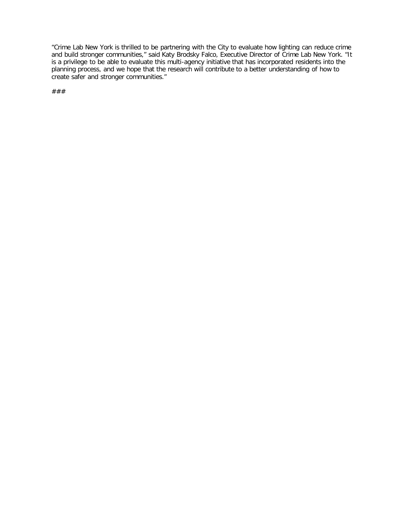"Crime Lab New York is thrilled to be partnering with the City to evaluate how lighting can reduce crime and build stronger communities," said Katy Brodsky Falco, Executive Director of Crime Lab New York. "It is a privilege to be able to evaluate this multi-agency initiative that has incorporated residents into the planning process, and we hope that the research will contribute to a better understanding of how to create safer and stronger communities."

###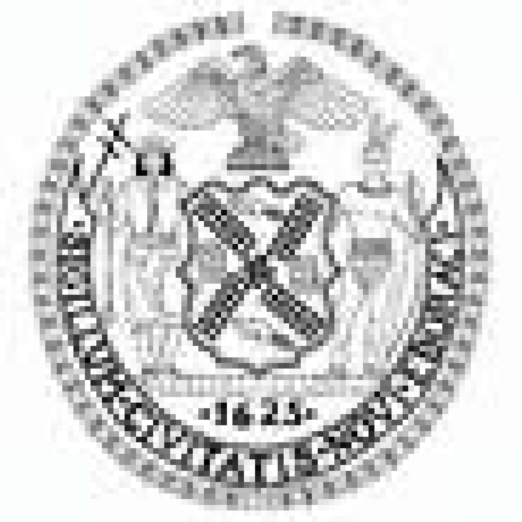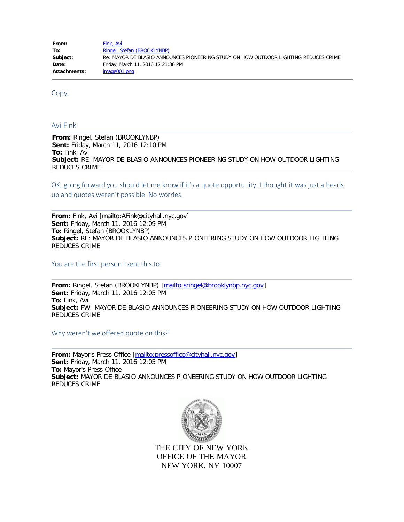Copy.

Avi Fink

**From:** Ringel, Stefan (BROOKLYNBP) **Sent:** Friday, March 11, 2016 12:10 PM **To:** Fink, Avi **Subject:** RE: MAYOR DE BLASIO ANNOUNCES PIONEERING STUDY ON HOW OUTDOOR LIGHTING REDUCES CRIME

OK, going forward you should let me know if it's a quote opportunity. I thought it was just a heads up and quotes weren't possible. No worries.

**From:** Fink, Avi [mailto:AFink@cityhall.nyc.gov] **Sent:** Friday, March 11, 2016 12:09 PM **To:** Ringel, Stefan (BROOKLYNBP) **Subject:** RE: MAYOR DE BLASIO ANNOUNCES PIONEERING STUDY ON HOW OUTDOOR LIGHTING REDUCES CRIME

You are the first person I sent this to

From: Ringel, Stefan (BROOKLYNBP) [mailto:sringel@brooklynbp.nyc.gov] **Sent:** Friday, March 11, 2016 12:05 PM **To:** Fink, Avi **Subject:** FW: MAYOR DE BLASIO ANNOUNCES PIONEERING STUDY ON HOW OUTDOOR LIGHTING REDUCES CRIME

Why weren't we offered quote on this?

**From:** Mayor's Press Office [mailto:pressoffice@cityhall.nyc.gov] **Sent:** Friday, March 11, 2016 12:05 PM **To:** Mayor's Press Office **Subject:** MAYOR DE BLASIO ANNOUNCES PIONEERING STUDY ON HOW OUTDOOR LIGHTING REDUCES CRIME



THE CITY OF NEW YORK OFFICE OF THE MAYOR NEW YORK, NY 10007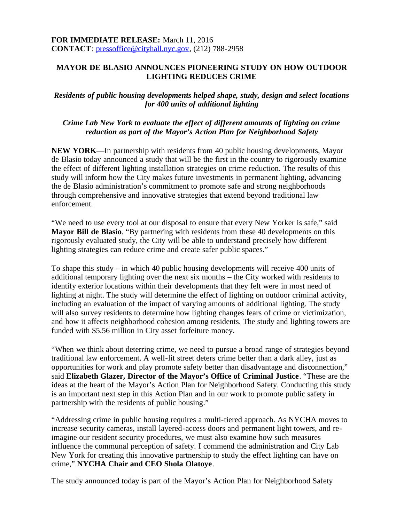### **MAYOR DE BLASIO ANNOUNCES PIONEERING STUDY ON HOW OUTDOOR LIGHTING REDUCES CRIME**

*Residents of public housing developments helped shape, study, design and select locations for 400 units of additional lighting*

#### *Crime Lab New York to evaluate the effect of different amounts of lighting on crime reduction as part of the Mayor's Action Plan for Neighborhood Safety*

**NEW YORK**––In partnership with residents from 40 public housing developments, Mayor de Blasio today announced a study that will be the first in the country to rigorously examine the effect of different lighting installation strategies on crime reduction. The results of this study will inform how the City makes future investments in permanent lighting, advancing the de Blasio administration's commitment to promote safe and strong neighborhoods through comprehensive and innovative strategies that extend beyond traditional law enforcement.

"We need to use every tool at our disposal to ensure that every New Yorker is safe," said **Mayor Bill de Blasio**. "By partnering with residents from these 40 developments on this rigorously evaluated study, the City will be able to understand precisely how different lighting strategies can reduce crime and create safer public spaces."

To shape this study – in which 40 public housing developments will receive 400 units of additional temporary lighting over the next six months – the City worked with residents to identify exterior locations within their developments that they felt were in most need of lighting at night. The study will determine the effect of lighting on outdoor criminal activity, including an evaluation of the impact of varying amounts of additional lighting. The study will also survey residents to determine how lighting changes fears of crime or victimization, and how it affects neighborhood cohesion among residents. The study and lighting towers are funded with \$5.56 million in City asset forfeiture money.

"When we think about deterring crime, we need to pursue a broad range of strategies beyond traditional law enforcement. A well-lit street deters crime better than a dark alley, just as opportunities for work and play promote safety better than disadvantage and disconnection," said **Elizabeth Glazer, Director of the Mayor's Office of Criminal Justice**. "These are the ideas at the heart of the Mayor's Action Plan for Neighborhood Safety. Conducting this study is an important next step in this Action Plan and in our work to promote public safety in partnership with the residents of public housing."

"Addressing crime in public housing requires a multi-tiered approach. As NYCHA moves to increase security cameras, install layered-access doors and permanent light towers, and reimagine our resident security procedures, we must also examine how such measures influence the communal perception of safety. I commend the administration and City Lab New York for creating this innovative partnership to study the effect lighting can have on crime," **NYCHA Chair and CEO Shola Olatoye**.

The study announced today is part of the Mayor's Action Plan for Neighborhood Safety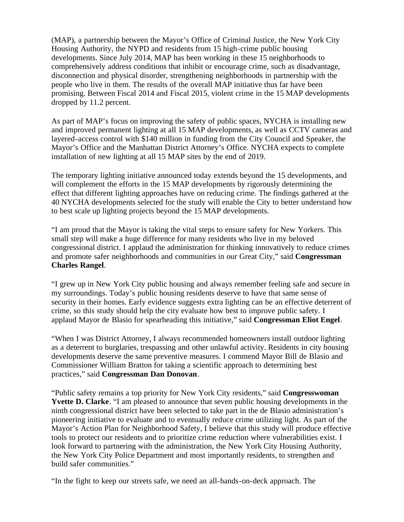(MAP), a partnership between the Mayor's Office of Criminal Justice, the New York City Housing Authority, the NYPD and residents from 15 high-crime public housing developments. Since July 2014, MAP has been working in these 15 neighborhoods to comprehensively address conditions that inhibit or encourage crime, such as disadvantage, disconnection and physical disorder, strengthening neighborhoods in partnership with the people who live in them. The results of the overall MAP initiative thus far have been promising. Between Fiscal 2014 and Fiscal 2015, violent crime in the 15 MAP developments dropped by 11.2 percent.

As part of MAP's focus on improving the safety of public spaces, NYCHA is installing new and improved permanent lighting at all 15 MAP developments, as well as CCTV cameras and layered-access control with \$140 million in funding from the City Council and Speaker, the Mayor's Office and the Manhattan District Attorney's Office. NYCHA expects to complete installation of new lighting at all 15 MAP sites by the end of 2019.

The temporary lighting initiative announced today extends beyond the 15 developments, and will complement the efforts in the 15 MAP developments by rigorously determining the effect that different lighting approaches have on reducing crime. The findings gathered at the 40 NYCHA developments selected for the study will enable the City to better understand how to best scale up lighting projects beyond the 15 MAP developments.

"I am proud that the Mayor is taking the vital steps to ensure safety for New Yorkers. This small step will make a huge difference for many residents who live in my beloved congressional district. I applaud the administration for thinking innovatively to reduce crimes and promote safer neighborhoods and communities in our Great City," said **Congressman Charles Rangel**.

"I grew up in New York City public housing and always remember feeling safe and secure in my surroundings. Today's public housing residents deserve to have that same sense of security in their homes. Early evidence suggests extra lighting can be an effective deterrent of crime, so this study should help the city evaluate how best to improve public safety. I applaud Mayor de Blasio for spearheading this initiative," said **Congressman Eliot Engel**.

"When I was District Attorney, I always recommended homeowners install outdoor lighting as a deterrent to burglaries, trespassing and other unlawful activity. Residents in city housing developments deserve the same preventive measures. I commend Mayor Bill de Blasio and Commissioner William Bratton for taking a scientific approach to determining best practices," said **Congressman Dan Donovan**.

"Public safety remains a top priority for New York City residents," said **Congresswoman Yvette D. Clarke**. "I am pleased to announce that seven public housing developments in the ninth congressional district have been selected to take part in the de Blasio administration's pioneering initiative to evaluate and to eventually reduce crime utilizing light. As part of the Mayor's Action Plan for Neighborhood Safety, I believe that this study will produce effective tools to protect our residents and to prioritize crime reduction where vulnerabilities exist. I look forward to partnering with the administration, the New York City Housing Authority, the New York City Police Department and most importantly residents, to strengthen and build safer communities."

"In the fight to keep our streets safe, we need an all-hands-on-deck approach. The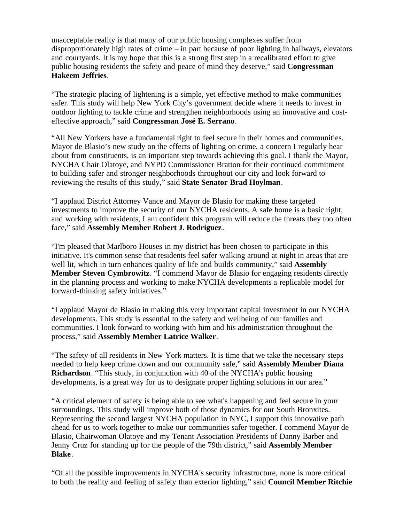unacceptable reality is that many of our public housing complexes suffer from disproportionately high rates of crime – in part because of poor lighting in hallways, elevators and courtyards. It is my hope that this is a strong first step in a recalibrated effort to give public housing residents the safety and peace of mind they deserve," said **Congressman Hakeem Jeffries**.

"The strategic placing of lightening is a simple, yet effective method to make communities safer. This study will help New York City's government decide where it needs to invest in outdoor lighting to tackle crime and strengthen neighborhoods using an innovative and costeffective approach," said **Congressman José E. Serrano**.

"All New Yorkers have a fundamental right to feel secure in their homes and communities. Mayor de Blasio's new study on the effects of lighting on crime, a concern I regularly hear about from constituents, is an important step towards achieving this goal. I thank the Mayor, NYCHA Chair Olatoye, and NYPD Commissioner Bratton for their continued commitment to building safer and stronger neighborhoods throughout our city and look forward to reviewing the results of this study," said **State Senator Brad Hoylman**.

"I applaud District Attorney Vance and Mayor de Blasio for making these targeted investments to improve the security of our NYCHA residents. A safe home is a basic right, and working with residents, I am confident this program will reduce the threats they too often face," said **Assembly Member Robert J. Rodriguez**.

"I'm pleased that Marlboro Houses in my district has been chosen to participate in this initiative. It's common sense that residents feel safer walking around at night in areas that are well lit, which in turn enhances quality of life and builds community," said **Assembly Member Steven Cymbrowitz**. "I commend Mayor de Blasio for engaging residents directly in the planning process and working to make NYCHA developments a replicable model for forward-thinking safety initiatives."

"I applaud Mayor de Blasio in making this very important capital investment in our NYCHA developments. This study is essential to the safety and wellbeing of our families and communities. I look forward to working with him and his administration throughout the process," said **Assembly Member Latrice Walker**.

"The safety of all residents in New York matters. It is time that we take the necessary steps needed to help keep crime down and our community safe," said **Assembly Member Diana Richardson**. "This study, in conjunction with 40 of the NYCHA's public housing developments, is a great way for us to designate proper lighting solutions in our area."

"A critical element of safety is being able to see what's happening and feel secure in your surroundings. This study will improve both of those dynamics for our South Bronxites. Representing the second largest NYCHA population in NYC, I support this innovative path ahead for us to work together to make our communities safer together. I commend Mayor de Blasio, Chairwoman Olatoye and my Tenant Association Presidents of Danny Barber and Jenny Cruz for standing up for the people of the 79th district," said **Assembly Member Blake**.

"Of all the possible improvements in NYCHA's security infrastructure, none is more critical to both the reality and feeling of safety than exterior lighting," said **Council Member Ritchie**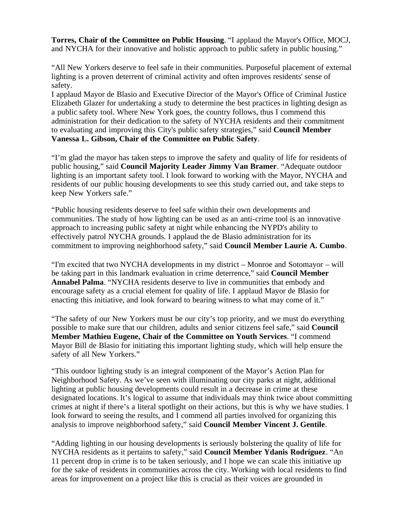**Torres, Chair of the Committee on Public Housing**. "I applaud the Mayor's Office, MOCJ, and NYCHA for their innovative and holistic approach to public safety in public housing."

"All New Yorkers deserve to feel safe in their communities. Purposeful placement of external lighting is a proven deterrent of criminal activity and often improves residents' sense of safety.

I applaud Mayor de Blasio and Executive Director of the Mayor's Office of Criminal Justice Elizabeth Glazer for undertaking a study to determine the best practices in lighting design as a public safety tool. Where New York goes, the country follows, thus I commend this administration for their dedication to the safety of NYCHA residents and their commitment to evaluating and improving this City's public safety strategies," said **Council Member Vanessa L. Gibson, Chair of the Committee on Public Safety**.

"I'm glad the mayor has taken steps to improve the safety and quality of life for residents of public housing," said **Council Majority Leader Jimmy Van Bramer**. "Adequate outdoor lighting is an important safety tool. I look forward to working with the Mayor, NYCHA and residents of our public housing developments to see this study carried out, and take steps to keep New Yorkers safe."

"Public housing residents deserve to feel safe within their own developments and communities. The study of how lighting can be used as an anti-crime tool is an innovative approach to increasing public safety at night while enhancing the NYPD's ability to effectively patrol NYCHA grounds. I applaud the de Blasio administration for its commitment to improving neighborhood safety," said **Council Member Laurie A. Cumbo**.

"I'm excited that two NYCHA developments in my district – Monroe and Sotomayor – will be taking part in this landmark evaluation in crime deterrence," said **Council Member Annabel Palma**. "NYCHA residents deserve to live in communities that embody and encourage safety as a crucial element for quality of life. I applaud Mayor de Blasio for enacting this initiative, and look forward to bearing witness to what may come of it."

"The safety of our New Yorkers must be our city's top priority, and we must do everything possible to make sure that our children, adults and senior citizens feel safe," said **Council Member Mathieu Eugene, Chair of the Committee on Youth Services**. "I commend Mayor Bill de Blasio for initiating this important lighting study, which will help ensure the safety of all New Yorkers."

"This outdoor lighting study is an integral component of the Mayor's Action Plan for Neighborhood Safety. As we've seen with illuminating our city parks at night, additional lighting at public housing developments could result in a decrease in crime at these designated locations. It's logical to assume that individuals may think twice about committing crimes at night if there's a literal spotlight on their actions, but this is why we have studies. I look forward to seeing the results, and I commend all parties involved for organizing this analysis to improve neighborhood safety," said **Council Member Vincent J. Gentile**.

"Adding lighting in our housing developments is seriously bolstering the quality of life for NYCHA residents as it pertains to safety," said **Council Member Ydanis Rodríguez**. "An 11 percent drop in crime is to be taken seriously, and I hope we can scale this initiative up for the sake of residents in communities across the city. Working with local residents to find areas for improvement on a project like this is crucial as their voices are grounded in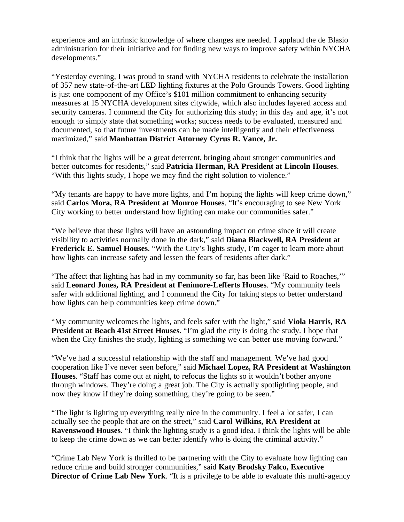experience and an intrinsic knowledge of where changes are needed. I applaud the de Blasio administration for their initiative and for finding new ways to improve safety within NYCHA developments."

"Yesterday evening, I was proud to stand with NYCHA residents to celebrate the installation of 357 new state-of-the-art LED lighting fixtures at the Polo Grounds Towers. Good lighting is just one component of my Office's \$101 million commitment to enhancing security measures at 15 NYCHA development sites citywide, which also includes layered access and security cameras. I commend the City for authorizing this study; in this day and age, it's not enough to simply state that something works; success needs to be evaluated, measured and documented, so that future investments can be made intelligently and their effectiveness maximized," said **Manhattan District Attorney Cyrus R. Vance, Jr.**

"I think that the lights will be a great deterrent, bringing about stronger communities and better outcomes for residents," said **Patricia Herman, RA President at Lincoln Houses**. "With this lights study, I hope we may find the right solution to violence."

"My tenants are happy to have more lights, and I'm hoping the lights will keep crime down," said **Carlos Mora, RA President at Monroe Houses**. "It's encouraging to see New York City working to better understand how lighting can make our communities safer."

"We believe that these lights will have an astounding impact on crime since it will create visibility to activities normally done in the dark," said **Diana Blackwell, RA President at Frederick E. Samuel Houses**. "With the City's lights study, I'm eager to learn more about how lights can increase safety and lessen the fears of residents after dark."

"The affect that lighting has had in my community so far, has been like 'Raid to Roaches,'" said **Leonard Jones, RA President at Fenimore-Lefferts Houses**. "My community feels safer with additional lighting, and I commend the City for taking steps to better understand how lights can help communities keep crime down."

"My community welcomes the lights, and feels safer with the light," said **Viola Harris, RA President at Beach 41st Street Houses**. "I'm glad the city is doing the study. I hope that when the City finishes the study, lighting is something we can better use moving forward."

"We've had a successful relationship with the staff and management. We've had good cooperation like I've never seen before," said **Michael Lopez, RA President at Washington Houses**. "Staff has come out at night, to refocus the lights so it wouldn't bother anyone through windows. They're doing a great job. The City is actually spotlighting people, and now they know if they're doing something, they're going to be seen."

"The light is lighting up everything really nice in the community. I feel a lot safer, I can actually see the people that are on the street," said **Carol Wilkins, RA President at Ravenswood Houses**. "I think the lighting study is a good idea. I think the lights will be able to keep the crime down as we can better identify who is doing the criminal activity."

"Crime Lab New York is thrilled to be partnering with the City to evaluate how lighting can reduce crime and build stronger communities," said **Katy Brodsky Falco, Executive Director of Crime Lab New York**. "It is a privilege to be able to evaluate this multi-agency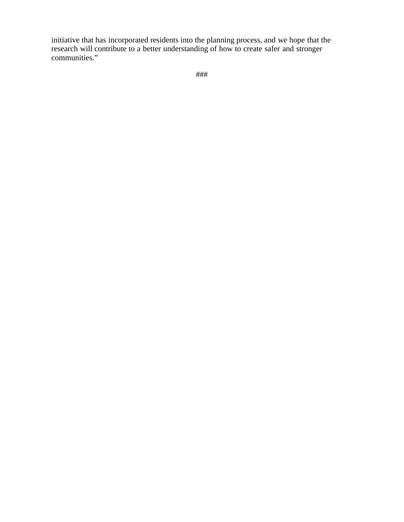initiative that has incorporated residents into the planning process, and we hope that the research will contribute to a better understanding of how to create safer and stronger communities."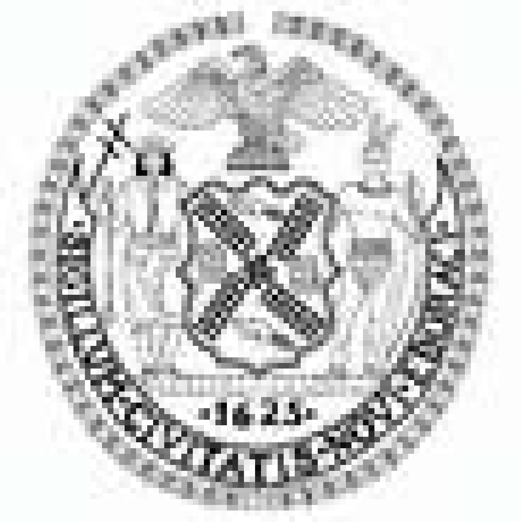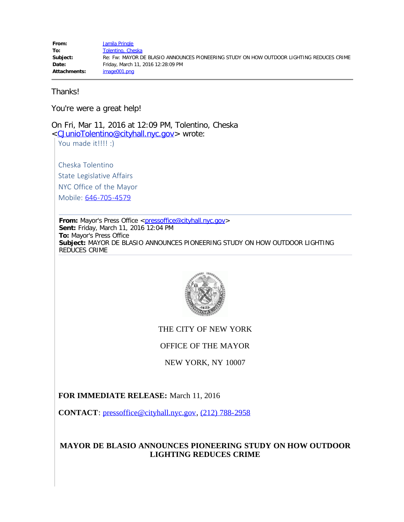Thanks!

You're were a great help!

On Fri, Mar 11, 2016 at 12:09 PM, Tolentino, Cheska <CJunioTolentino@cityhall.nyc.gov> wrote:

You made it!!!! :)

Cheska Tolentino State Legislative Affairs NYC Office of the Mayor Mobile: 646-705-4579

**From:** Mayor's Press Office <pressoffice@cityhall.nyc.gov> **Sent:** Friday, March 11, 2016 12:04 PM **To:** Mayor's Press Office **Subject:** MAYOR DE BLASIO ANNOUNCES PIONEERING STUDY ON HOW OUTDOOR LIGHTING REDUCES CRIME



## THE CITY OF NEW YORK

# OFFICE OF THE MAYOR

NEW YORK, NY 10007

**FOR IMMEDIATE RELEASE:** March 11, 2016

**CONTACT**: pressoffice@cityhall.nyc.gov, (212) 788-2958

## **MAYOR DE BLASIO ANNOUNCES PIONEERING STUDY ON HOW OUTDOOR LIGHTING REDUCES CRIME**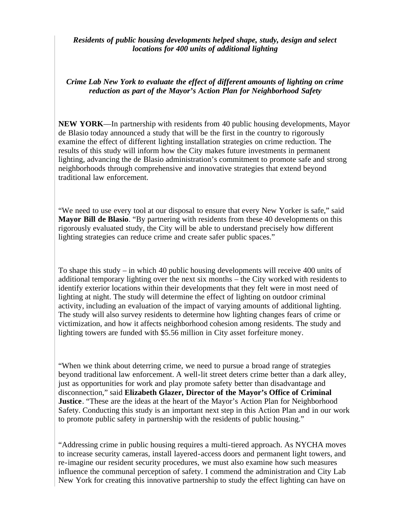*Residents of public housing developments helped shape, study, design and select locations for 400 units of additional lighting*

### *Crime Lab New York to evaluate the effect of different amounts of lighting on crime reduction as part of the Mayor's Action Plan for Neighborhood Safety*

**NEW YORK**––In partnership with residents from 40 public housing developments, Mayor de Blasio today announced a study that will be the first in the country to rigorously examine the effect of different lighting installation strategies on crime reduction. The results of this study will inform how the City makes future investments in permanent lighting, advancing the de Blasio administration's commitment to promote safe and strong neighborhoods through comprehensive and innovative strategies that extend beyond traditional law enforcement.

"We need to use every tool at our disposal to ensure that every New Yorker is safe," said **Mayor Bill de Blasio**. "By partnering with residents from these 40 developments on this rigorously evaluated study, the City will be able to understand precisely how different lighting strategies can reduce crime and create safer public spaces."

To shape this study – in which 40 public housing developments will receive 400 units of additional temporary lighting over the next six months – the City worked with residents to identify exterior locations within their developments that they felt were in most need of lighting at night. The study will determine the effect of lighting on outdoor criminal activity, including an evaluation of the impact of varying amounts of additional lighting. The study will also survey residents to determine how lighting changes fears of crime or victimization, and how it affects neighborhood cohesion among residents. The study and lighting towers are funded with \$5.56 million in City asset forfeiture money.

"When we think about deterring crime, we need to pursue a broad range of strategies beyond traditional law enforcement. A well-lit street deters crime better than a dark alley, just as opportunities for work and play promote safety better than disadvantage and disconnection," said **Elizabeth Glazer, Director of the Mayor's Office of Criminal Justice**. "These are the ideas at the heart of the Mayor's Action Plan for Neighborhood Safety. Conducting this study is an important next step in this Action Plan and in our work to promote public safety in partnership with the residents of public housing."

"Addressing crime in public housing requires a multi-tiered approach. As NYCHA moves to increase security cameras, install layered-access doors and permanent light towers, and re-imagine our resident security procedures, we must also examine how such measures influence the communal perception of safety. I commend the administration and City Lab New York for creating this innovative partnership to study the effect lighting can have on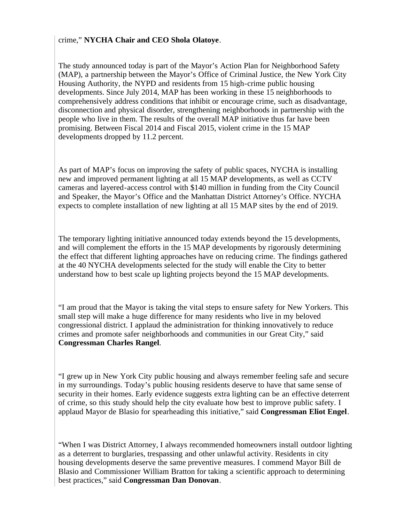### crime," **NYCHA Chair and CEO Shola Olatoye**.

The study announced today is part of the Mayor's Action Plan for Neighborhood Safety (MAP), a partnership between the Mayor's Office of Criminal Justice, the New York City Housing Authority, the NYPD and residents from 15 high-crime public housing developments. Since July 2014, MAP has been working in these 15 neighborhoods to comprehensively address conditions that inhibit or encourage crime, such as disadvantage, disconnection and physical disorder, strengthening neighborhoods in partnership with the people who live in them. The results of the overall MAP initiative thus far have been promising. Between Fiscal 2014 and Fiscal 2015, violent crime in the 15 MAP developments dropped by 11.2 percent.

As part of MAP's focus on improving the safety of public spaces, NYCHA is installing new and improved permanent lighting at all 15 MAP developments, as well as CCTV cameras and layered-access control with \$140 million in funding from the City Council and Speaker, the Mayor's Office and the Manhattan District Attorney's Office. NYCHA expects to complete installation of new lighting at all 15 MAP sites by the end of 2019.

The temporary lighting initiative announced today extends beyond the 15 developments, and will complement the efforts in the 15 MAP developments by rigorously determining the effect that different lighting approaches have on reducing crime. The findings gathered at the 40 NYCHA developments selected for the study will enable the City to better understand how to best scale up lighting projects beyond the 15 MAP developments.

"I am proud that the Mayor is taking the vital steps to ensure safety for New Yorkers. This small step will make a huge difference for many residents who live in my beloved congressional district. I applaud the administration for thinking innovatively to reduce crimes and promote safer neighborhoods and communities in our Great City," said **Congressman Charles Rangel**.

"I grew up in New York City public housing and always remember feeling safe and secure in my surroundings. Today's public housing residents deserve to have that same sense of security in their homes. Early evidence suggests extra lighting can be an effective deterrent of crime, so this study should help the city evaluate how best to improve public safety. I applaud Mayor de Blasio for spearheading this initiative," said **Congressman Eliot Engel**.

"When I was District Attorney, I always recommended homeowners install outdoor lighting as a deterrent to burglaries, trespassing and other unlawful activity. Residents in city housing developments deserve the same preventive measures. I commend Mayor Bill de Blasio and Commissioner William Bratton for taking a scientific approach to determining best practices," said **Congressman Dan Donovan**.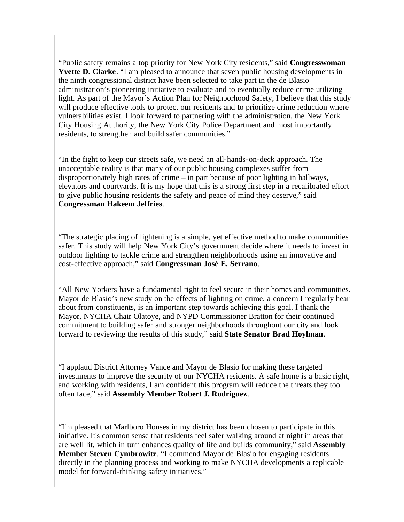"Public safety remains a top priority for New York City residents," said **Congresswoman Yvette D. Clarke**. "I am pleased to announce that seven public housing developments in the ninth congressional district have been selected to take part in the de Blasio administration's pioneering initiative to evaluate and to eventually reduce crime utilizing light. As part of the Mayor's Action Plan for Neighborhood Safety, I believe that this study will produce effective tools to protect our residents and to prioritize crime reduction where vulnerabilities exist. I look forward to partnering with the administration, the New York City Housing Authority, the New York City Police Department and most importantly residents, to strengthen and build safer communities."

"In the fight to keep our streets safe, we need an all-hands-on-deck approach. The unacceptable reality is that many of our public housing complexes suffer from disproportionately high rates of crime – in part because of poor lighting in hallways, elevators and courtyards. It is my hope that this is a strong first step in a recalibrated effort to give public housing residents the safety and peace of mind they deserve," said **Congressman Hakeem Jeffries**.

"The strategic placing of lightening is a simple, yet effective method to make communities safer. This study will help New York City's government decide where it needs to invest in outdoor lighting to tackle crime and strengthen neighborhoods using an innovative and cost-effective approach," said **Congressman José E. Serrano**.

"All New Yorkers have a fundamental right to feel secure in their homes and communities. Mayor de Blasio's new study on the effects of lighting on crime, a concern I regularly hear about from constituents, is an important step towards achieving this goal. I thank the Mayor, NYCHA Chair Olatoye, and NYPD Commissioner Bratton for their continued commitment to building safer and stronger neighborhoods throughout our city and look forward to reviewing the results of this study," said **State Senator Brad Hoylman**.

"I applaud District Attorney Vance and Mayor de Blasio for making these targeted investments to improve the security of our NYCHA residents. A safe home is a basic right, and working with residents, I am confident this program will reduce the threats they too often face," said **Assembly Member Robert J. Rodriguez**.

"I'm pleased that Marlboro Houses in my district has been chosen to participate in this initiative. It's common sense that residents feel safer walking around at night in areas that are well lit, which in turn enhances quality of life and builds community," said **Assembly Member Steven Cymbrowitz**. "I commend Mayor de Blasio for engaging residents directly in the planning process and working to make NYCHA developments a replicable model for forward-thinking safety initiatives."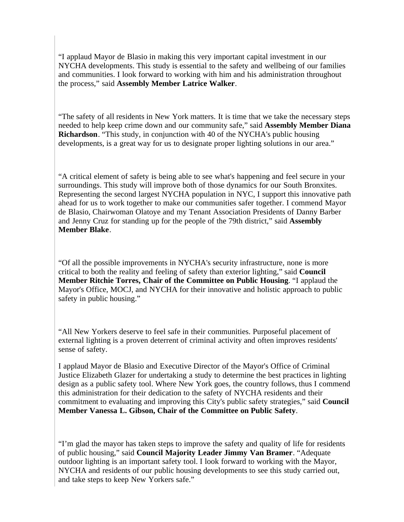"I applaud Mayor de Blasio in making this very important capital investment in our NYCHA developments. This study is essential to the safety and wellbeing of our families and communities. I look forward to working with him and his administration throughout the process," said **Assembly Member Latrice Walker**.

"The safety of all residents in New York matters. It is time that we take the necessary steps needed to help keep crime down and our community safe," said **Assembly Member Diana Richardson**. "This study, in conjunction with 40 of the NYCHA's public housing developments, is a great way for us to designate proper lighting solutions in our area."

"A critical element of safety is being able to see what's happening and feel secure in your surroundings. This study will improve both of those dynamics for our South Bronxites. Representing the second largest NYCHA population in NYC, I support this innovative path ahead for us to work together to make our communities safer together. I commend Mayor de Blasio, Chairwoman Olatoye and my Tenant Association Presidents of Danny Barber and Jenny Cruz for standing up for the people of the 79th district," said **Assembly Member Blake**.

"Of all the possible improvements in NYCHA's security infrastructure, none is more critical to both the reality and feeling of safety than exterior lighting," said **Council Member Ritchie Torres, Chair of the Committee on Public Housing**. "I applaud the Mayor's Office, MOCJ, and NYCHA for their innovative and holistic approach to public safety in public housing."

"All New Yorkers deserve to feel safe in their communities. Purposeful placement of external lighting is a proven deterrent of criminal activity and often improves residents' sense of safety.

I applaud Mayor de Blasio and Executive Director of the Mayor's Office of Criminal Justice Elizabeth Glazer for undertaking a study to determine the best practices in lighting design as a public safety tool. Where New York goes, the country follows, thus I commend this administration for their dedication to the safety of NYCHA residents and their commitment to evaluating and improving this City's public safety strategies," said **Council Member Vanessa L. Gibson, Chair of the Committee on Public Safety**.

"I'm glad the mayor has taken steps to improve the safety and quality of life for residents of public housing," said **Council Majority Leader Jimmy Van Bramer**. "Adequate outdoor lighting is an important safety tool. I look forward to working with the Mayor, NYCHA and residents of our public housing developments to see this study carried out, and take steps to keep New Yorkers safe."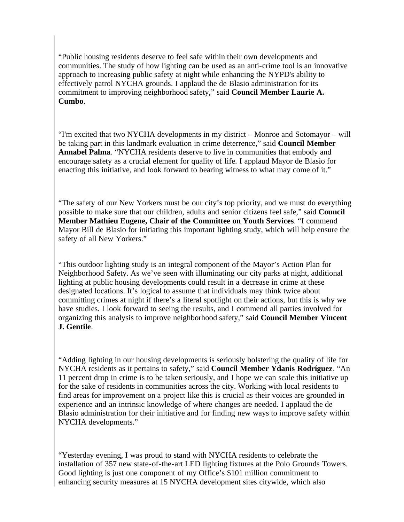"Public housing residents deserve to feel safe within their own developments and communities. The study of how lighting can be used as an anti-crime tool is an innovative approach to increasing public safety at night while enhancing the NYPD's ability to effectively patrol NYCHA grounds. I applaud the de Blasio administration for its commitment to improving neighborhood safety," said **Council Member Laurie A. Cumbo**.

"I'm excited that two NYCHA developments in my district – Monroe and Sotomayor – will be taking part in this landmark evaluation in crime deterrence," said **Council Member Annabel Palma**. "NYCHA residents deserve to live in communities that embody and encourage safety as a crucial element for quality of life. I applaud Mayor de Blasio for enacting this initiative, and look forward to bearing witness to what may come of it."

"The safety of our New Yorkers must be our city's top priority, and we must do everything possible to make sure that our children, adults and senior citizens feel safe," said **Council Member Mathieu Eugene, Chair of the Committee on Youth Services**. "I commend Mayor Bill de Blasio for initiating this important lighting study, which will help ensure the safety of all New Yorkers."

"This outdoor lighting study is an integral component of the Mayor's Action Plan for Neighborhood Safety. As we've seen with illuminating our city parks at night, additional lighting at public housing developments could result in a decrease in crime at these designated locations. It's logical to assume that individuals may think twice about committing crimes at night if there's a literal spotlight on their actions, but this is why we have studies. I look forward to seeing the results, and I commend all parties involved for organizing this analysis to improve neighborhood safety," said **Council Member Vincent J. Gentile**.

"Adding lighting in our housing developments is seriously bolstering the quality of life for NYCHA residents as it pertains to safety," said **Council Member Ydanis Rodríguez**. "An 11 percent drop in crime is to be taken seriously, and I hope we can scale this initiative up for the sake of residents in communities across the city. Working with local residents to find areas for improvement on a project like this is crucial as their voices are grounded in experience and an intrinsic knowledge of where changes are needed. I applaud the de Blasio administration for their initiative and for finding new ways to improve safety within NYCHA developments."

"Yesterday evening, I was proud to stand with NYCHA residents to celebrate the installation of 357 new state-of-the-art LED lighting fixtures at the Polo Grounds Towers. Good lighting is just one component of my Office's \$101 million commitment to enhancing security measures at 15 NYCHA development sites citywide, which also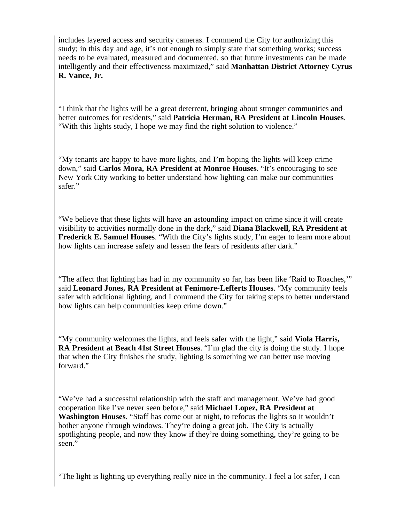includes layered access and security cameras. I commend the City for authorizing this study; in this day and age, it's not enough to simply state that something works; success needs to be evaluated, measured and documented, so that future investments can be made intelligently and their effectiveness maximized," said **Manhattan District Attorney Cyrus R. Vance, Jr.**

"I think that the lights will be a great deterrent, bringing about stronger communities and better outcomes for residents," said **Patricia Herman, RA President at Lincoln Houses**. "With this lights study, I hope we may find the right solution to violence."

"My tenants are happy to have more lights, and I'm hoping the lights will keep crime down," said **Carlos Mora, RA President at Monroe Houses**. "It's encouraging to see New York City working to better understand how lighting can make our communities safer."

"We believe that these lights will have an astounding impact on crime since it will create visibility to activities normally done in the dark," said **Diana Blackwell, RA President at Frederick E. Samuel Houses**. "With the City's lights study, I'm eager to learn more about how lights can increase safety and lessen the fears of residents after dark."

"The affect that lighting has had in my community so far, has been like 'Raid to Roaches,'" said **Leonard Jones, RA President at Fenimore-Lefferts Houses**. "My community feels safer with additional lighting, and I commend the City for taking steps to better understand how lights can help communities keep crime down."

"My community welcomes the lights, and feels safer with the light," said **Viola Harris, RA President at Beach 41st Street Houses**. "I'm glad the city is doing the study. I hope that when the City finishes the study, lighting is something we can better use moving forward."

"We've had a successful relationship with the staff and management. We've had good cooperation like I've never seen before," said **Michael Lopez, RA President at Washington Houses**. "Staff has come out at night, to refocus the lights so it wouldn't bother anyone through windows. They're doing a great job. The City is actually spotlighting people, and now they know if they're doing something, they're going to be seen."

"The light is lighting up everything really nice in the community. I feel a lot safer, I can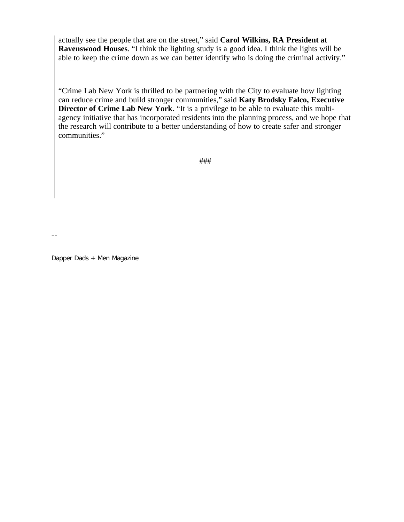actually see the people that are on the street," said **Carol Wilkins, RA President at Ravenswood Houses**. "I think the lighting study is a good idea. I think the lights will be able to keep the crime down as we can better identify who is doing the criminal activity."

"Crime Lab New York is thrilled to be partnering with the City to evaluate how lighting can reduce crime and build stronger communities," said **Katy Brodsky Falco, Executive Director of Crime Lab New York**. "It is a privilege to be able to evaluate this multiagency initiative that has incorporated residents into the planning process, and we hope that the research will contribute to a better understanding of how to create safer and stronger communities."

###

--

Dapper Dads + Men Magazine